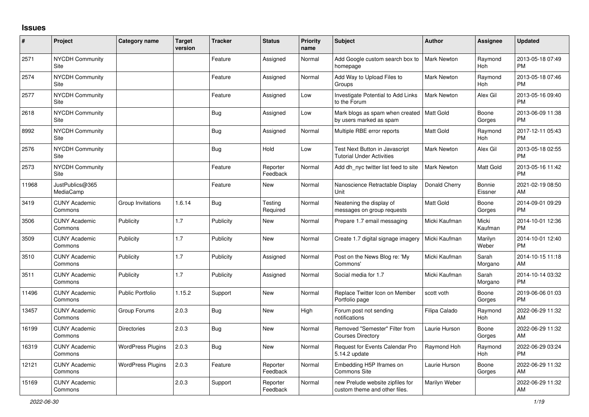## **Issues**

| $\vert$ # | Project                         | <b>Category name</b>     | <b>Target</b><br>version | <b>Tracker</b> | <b>Status</b>        | <b>Priority</b><br>name | <b>Subject</b>                                                     | <b>Author</b>      | <b>Assignee</b>   | <b>Updated</b>                |
|-----------|---------------------------------|--------------------------|--------------------------|----------------|----------------------|-------------------------|--------------------------------------------------------------------|--------------------|-------------------|-------------------------------|
| 2571      | NYCDH Community<br>Site         |                          |                          | Feature        | Assigned             | Normal                  | Add Google custom search box to<br>homepage                        | Mark Newton        | Raymond<br>Hoh    | 2013-05-18 07:49<br><b>PM</b> |
| 2574      | <b>NYCDH Community</b><br>Site  |                          |                          | Feature        | Assigned             | Normal                  | Add Way to Upload Files to<br>Groups                               | <b>Mark Newton</b> | Raymond<br>Hoh    | 2013-05-18 07:46<br><b>PM</b> |
| 2577      | NYCDH Community<br>Site         |                          |                          | Feature        | Assigned             | Low                     | Investigate Potential to Add Links<br>to the Forum                 | <b>Mark Newton</b> | Alex Gil          | 2013-05-16 09:40<br><b>PM</b> |
| 2618      | <b>NYCDH Community</b><br>Site  |                          |                          | <b>Bug</b>     | Assigned             | Low                     | Mark blogs as spam when created<br>by users marked as spam         | Matt Gold          | Boone<br>Gorges   | 2013-06-09 11:38<br><b>PM</b> |
| 8992      | NYCDH Community<br>Site         |                          |                          | Bug            | Assigned             | Normal                  | Multiple RBE error reports                                         | Matt Gold          | Raymond<br>Hoh    | 2017-12-11 05:43<br><b>PM</b> |
| 2576      | <b>NYCDH Community</b><br>Site  |                          |                          | <b>Bug</b>     | Hold                 | Low                     | Test Next Button in Javascript<br><b>Tutorial Under Activities</b> | Mark Newton        | Alex Gil          | 2013-05-18 02:55<br><b>PM</b> |
| 2573      | NYCDH Community<br>Site         |                          |                          | Feature        | Reporter<br>Feedback | Normal                  | Add dh nyc twitter list feed to site                               | Mark Newton        | Matt Gold         | 2013-05-16 11:42<br><b>PM</b> |
| 11968     | JustPublics@365<br>MediaCamp    |                          |                          | Feature        | <b>New</b>           | Normal                  | Nanoscience Retractable Display<br>Unit                            | Donald Cherry      | Bonnie<br>Eissner | 2021-02-19 08:50<br>AM        |
| 3419      | <b>CUNY Academic</b><br>Commons | Group Invitations        | 1.6.14                   | Bug            | Testing<br>Required  | Normal                  | Neatening the display of<br>messages on group requests             | Matt Gold          | Boone<br>Gorges   | 2014-09-01 09:29<br><b>PM</b> |
| 3506      | <b>CUNY Academic</b><br>Commons | Publicity                | 1.7                      | Publicity      | <b>New</b>           | Normal                  | Prepare 1.7 email messaging                                        | Micki Kaufman      | Micki<br>Kaufman  | 2014-10-01 12:36<br><b>PM</b> |
| 3509      | <b>CUNY Academic</b><br>Commons | Publicity                | 1.7                      | Publicity      | New                  | Normal                  | Create 1.7 digital signage imagery                                 | Micki Kaufman      | Marilyn<br>Weber  | 2014-10-01 12:40<br><b>PM</b> |
| 3510      | <b>CUNY Academic</b><br>Commons | Publicity                | 1.7                      | Publicity      | Assigned             | Normal                  | Post on the News Blog re: 'My<br>Commons'                          | Micki Kaufman      | Sarah<br>Morgano  | 2014-10-15 11:18<br>AM        |
| 3511      | <b>CUNY Academic</b><br>Commons | Publicity                | 1.7                      | Publicity      | Assigned             | Normal                  | Social media for 1.7                                               | Micki Kaufman      | Sarah<br>Morgano  | 2014-10-14 03:32<br><b>PM</b> |
| 11496     | <b>CUNY Academic</b><br>Commons | <b>Public Portfolio</b>  | 1.15.2                   | Support        | <b>New</b>           | Normal                  | Replace Twitter Icon on Member<br>Portfolio page                   | scott voth         | Boone<br>Gorges   | 2019-06-06 01:03<br><b>PM</b> |
| 13457     | <b>CUNY Academic</b><br>Commons | Group Forums             | 2.0.3                    | Bug            | New                  | High                    | Forum post not sending<br>notifications                            | Filipa Calado      | Raymond<br>Hoh    | 2022-06-29 11:32<br><b>AM</b> |
| 16199     | <b>CUNY Academic</b><br>Commons | <b>Directories</b>       | 2.0.3                    | <b>Bug</b>     | <b>New</b>           | Normal                  | Removed "Semester" Filter from<br><b>Courses Directory</b>         | Laurie Hurson      | Boone<br>Gorges   | 2022-06-29 11:32<br>AM        |
| 16319     | <b>CUNY Academic</b><br>Commons | <b>WordPress Plugins</b> | 2.0.3                    | Bug            | New                  | Normal                  | Request for Events Calendar Pro<br>5.14.2 update                   | Raymond Hoh        | Raymond<br>Hoh    | 2022-06-29 03:24<br><b>PM</b> |
| 12121     | <b>CUNY Academic</b><br>Commons | <b>WordPress Plugins</b> | 2.0.3                    | Feature        | Reporter<br>Feedback | Normal                  | Embedding H5P Iframes on<br><b>Commons Site</b>                    | Laurie Hurson      | Boone<br>Gorges   | 2022-06-29 11:32<br>AM.       |
| 15169     | <b>CUNY Academic</b><br>Commons |                          | 2.0.3                    | Support        | Reporter<br>Feedback | Normal                  | new Prelude website zipfiles for<br>custom theme and other files.  | Marilyn Weber      |                   | 2022-06-29 11:32<br>AM        |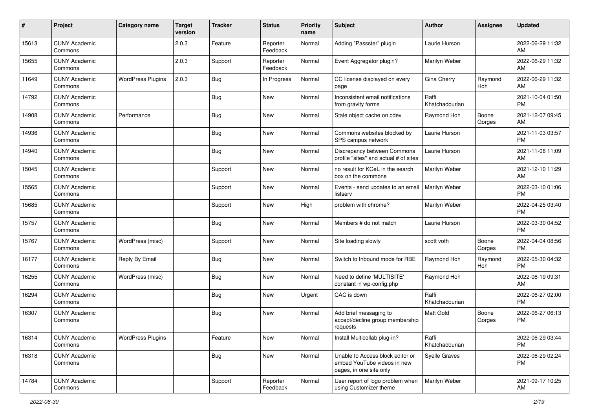| #     | Project                         | <b>Category name</b>     | <b>Target</b><br>version | <b>Tracker</b> | <b>Status</b>        | <b>Priority</b><br>name | <b>Subject</b>                                                                             | <b>Author</b>           | <b>Assignee</b> | <b>Updated</b>                |
|-------|---------------------------------|--------------------------|--------------------------|----------------|----------------------|-------------------------|--------------------------------------------------------------------------------------------|-------------------------|-----------------|-------------------------------|
| 15613 | <b>CUNY Academic</b><br>Commons |                          | 2.0.3                    | Feature        | Reporter<br>Feedback | Normal                  | Adding "Passster" plugin                                                                   | Laurie Hurson           |                 | 2022-06-29 11:32<br>AM.       |
| 15655 | <b>CUNY Academic</b><br>Commons |                          | 2.0.3                    | Support        | Reporter<br>Feedback | Normal                  | Event Aggregator plugin?                                                                   | Marilyn Weber           |                 | 2022-06-29 11:32<br>AM        |
| 11649 | <b>CUNY Academic</b><br>Commons | <b>WordPress Plugins</b> | 2.0.3                    | Bug            | In Progress          | Normal                  | CC license displayed on every<br>page                                                      | Gina Cherry             | Raymond<br>Hoh  | 2022-06-29 11:32<br>AM        |
| 14792 | <b>CUNY Academic</b><br>Commons |                          |                          | Bug            | New                  | Normal                  | Inconsistent email notifications<br>from gravity forms                                     | Raffi<br>Khatchadourian |                 | 2021-10-04 01:50<br><b>PM</b> |
| 14908 | <b>CUNY Academic</b><br>Commons | Performance              |                          | Bug            | New                  | Normal                  | Stale object cache on cdev                                                                 | Raymond Hoh             | Boone<br>Gorges | 2021-12-07 09:45<br>AM        |
| 14936 | <b>CUNY Academic</b><br>Commons |                          |                          | <b>Bug</b>     | New                  | Normal                  | Commons websites blocked by<br>SPS campus network                                          | Laurie Hurson           |                 | 2021-11-03 03:57<br><b>PM</b> |
| 14940 | <b>CUNY Academic</b><br>Commons |                          |                          | Bug            | New                  | Normal                  | Discrepancy between Commons<br>profile "sites" and actual # of sites                       | Laurie Hurson           |                 | 2021-11-08 11:09<br>AM        |
| 15045 | <b>CUNY Academic</b><br>Commons |                          |                          | Support        | New                  | Normal                  | no result for KCeL in the search<br>box on the commons                                     | Marilyn Weber           |                 | 2021-12-10 11:29<br>AM.       |
| 15565 | <b>CUNY Academic</b><br>Commons |                          |                          | Support        | <b>New</b>           | Normal                  | Events - send updates to an email<br>listserv                                              | Marilyn Weber           |                 | 2022-03-10 01:06<br><b>PM</b> |
| 15685 | <b>CUNY Academic</b><br>Commons |                          |                          | Support        | New                  | High                    | problem with chrome?                                                                       | Marilyn Weber           |                 | 2022-04-25 03:40<br><b>PM</b> |
| 15757 | <b>CUNY Academic</b><br>Commons |                          |                          | Bug            | New                  | Normal                  | Members # do not match                                                                     | Laurie Hurson           |                 | 2022-03-30 04:52<br><b>PM</b> |
| 15767 | <b>CUNY Academic</b><br>Commons | WordPress (misc)         |                          | Support        | New                  | Normal                  | Site loading slowly                                                                        | scott voth              | Boone<br>Gorges | 2022-04-04 08:56<br><b>PM</b> |
| 16177 | <b>CUNY Academic</b><br>Commons | Reply By Email           |                          | Bug            | New                  | Normal                  | Switch to Inbound mode for RBE                                                             | Raymond Hoh             | Raymond<br>Hoh  | 2022-05-30 04:32<br><b>PM</b> |
| 16255 | <b>CUNY Academic</b><br>Commons | WordPress (misc)         |                          | Bug            | New                  | Normal                  | Need to define 'MULTISITE'<br>constant in wp-config.php                                    | Raymond Hoh             |                 | 2022-06-19 09:31<br>AM        |
| 16294 | <b>CUNY Academic</b><br>Commons |                          |                          | Bug            | New                  | Urgent                  | CAC is down                                                                                | Raffi<br>Khatchadourian |                 | 2022-06-27 02:00<br><b>PM</b> |
| 16307 | <b>CUNY Academic</b><br>Commons |                          |                          | <b>Bug</b>     | <b>New</b>           | Normal                  | Add brief messaging to<br>accept/decline group membership<br>requests                      | <b>Matt Gold</b>        | Boone<br>Gorges | 2022-06-27 06:13<br><b>PM</b> |
| 16314 | <b>CUNY Academic</b><br>Commons | <b>WordPress Plugins</b> |                          | Feature        | New                  | Normal                  | Install Multicollab plug-in?                                                               | Raffi<br>Khatchadourian |                 | 2022-06-29 03:44<br>PM        |
| 16318 | <b>CUNY Academic</b><br>Commons |                          |                          | Bug            | New                  | Normal                  | Unable to Access block editor or<br>embed YouTube videos in new<br>pages, in one site only | Syelle Graves           |                 | 2022-06-29 02:24<br><b>PM</b> |
| 14784 | <b>CUNY Academic</b><br>Commons |                          |                          | Support        | Reporter<br>Feedback | Normal                  | User report of logo problem when<br>using Customizer theme                                 | Marilyn Weber           |                 | 2021-09-17 10:25<br>AM        |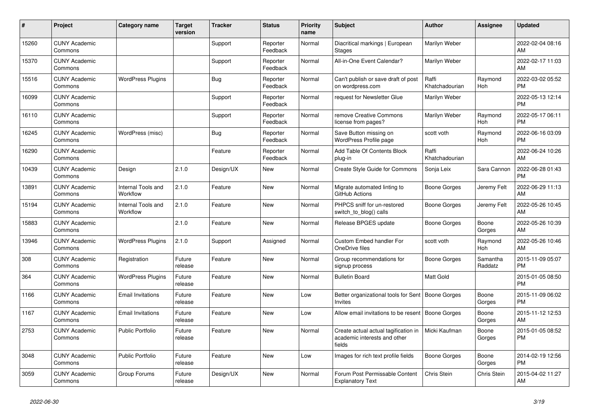| #     | Project                         | Category name                  | <b>Target</b><br>version | <b>Tracker</b> | <b>Status</b>        | Priority<br>name | <b>Subject</b>                                                                 | <b>Author</b>           | <b>Assignee</b>     | <b>Updated</b>                |
|-------|---------------------------------|--------------------------------|--------------------------|----------------|----------------------|------------------|--------------------------------------------------------------------------------|-------------------------|---------------------|-------------------------------|
| 15260 | <b>CUNY Academic</b><br>Commons |                                |                          | Support        | Reporter<br>Feedback | Normal           | Diacritical markings   European<br>Stages                                      | Marilyn Weber           |                     | 2022-02-04 08:16<br>AM.       |
| 15370 | <b>CUNY Academic</b><br>Commons |                                |                          | Support        | Reporter<br>Feedback | Normal           | All-in-One Event Calendar?                                                     | Marilyn Weber           |                     | 2022-02-17 11:03<br><b>AM</b> |
| 15516 | <b>CUNY Academic</b><br>Commons | <b>WordPress Plugins</b>       |                          | Bug            | Reporter<br>Feedback | Normal           | Can't publish or save draft of post<br>on wordpress.com                        | Raffi<br>Khatchadourian | Raymond<br>Hoh      | 2022-03-02 05:52<br><b>PM</b> |
| 16099 | <b>CUNY Academic</b><br>Commons |                                |                          | Support        | Reporter<br>Feedback | Normal           | request for Newsletter Glue                                                    | Marilyn Weber           |                     | 2022-05-13 12:14<br><b>PM</b> |
| 16110 | <b>CUNY Academic</b><br>Commons |                                |                          | Support        | Reporter<br>Feedback | Normal           | remove Creative Commons<br>license from pages?                                 | Marilyn Weber           | Raymond<br>Hoh      | 2022-05-17 06:11<br><b>PM</b> |
| 16245 | <b>CUNY Academic</b><br>Commons | WordPress (misc)               |                          | Bug            | Reporter<br>Feedback | Normal           | Save Button missing on<br><b>WordPress Profile page</b>                        | scott voth              | Raymond<br>Hoh      | 2022-06-16 03:09<br><b>PM</b> |
| 16290 | <b>CUNY Academic</b><br>Commons |                                |                          | Feature        | Reporter<br>Feedback | Normal           | Add Table Of Contents Block<br>plug-in                                         | Raffi<br>Khatchadourian |                     | 2022-06-24 10:26<br>AM        |
| 10439 | <b>CUNY Academic</b><br>Commons | Design                         | 2.1.0                    | Design/UX      | New                  | Normal           | <b>Create Style Guide for Commons</b>                                          | Sonja Leix              | Sara Cannon         | 2022-06-28 01:43<br><b>PM</b> |
| 13891 | <b>CUNY Academic</b><br>Commons | Internal Tools and<br>Workflow | 2.1.0                    | Feature        | <b>New</b>           | Normal           | Migrate automated linting to<br>GitHub Actions                                 | Boone Gorges            | Jeremy Felt         | 2022-06-29 11:13<br>AM        |
| 15194 | <b>CUNY Academic</b><br>Commons | Internal Tools and<br>Workflow | 2.1.0                    | Feature        | <b>New</b>           | Normal           | PHPCS sniff for un-restored<br>switch to blog() calls                          | Boone Gorges            | Jeremy Felt         | 2022-05-26 10:45<br>AM        |
| 15883 | <b>CUNY Academic</b><br>Commons |                                | 2.1.0                    | Feature        | New                  | Normal           | Release BPGES update                                                           | Boone Gorges            | Boone<br>Gorges     | 2022-05-26 10:39<br>AM        |
| 13946 | <b>CUNY Academic</b><br>Commons | <b>WordPress Plugins</b>       | 2.1.0                    | Support        | Assigned             | Normal           | Custom Embed handler For<br>OneDrive files                                     | scott voth              | Raymond<br>Hoh      | 2022-05-26 10:46<br><b>AM</b> |
| 308   | <b>CUNY Academic</b><br>Commons | Registration                   | Future<br>release        | Feature        | <b>New</b>           | Normal           | Group recommendations for<br>signup process                                    | Boone Gorges            | Samantha<br>Raddatz | 2015-11-09 05:07<br><b>PM</b> |
| 364   | <b>CUNY Academic</b><br>Commons | <b>WordPress Plugins</b>       | Future<br>release        | Feature        | <b>New</b>           | Normal           | <b>Bulletin Board</b>                                                          | Matt Gold               |                     | 2015-01-05 08:50<br><b>PM</b> |
| 1166  | <b>CUNY Academic</b><br>Commons | <b>Email Invitations</b>       | Future<br>release        | Feature        | New                  | Low              | Better organizational tools for Sent<br><b>Invites</b>                         | <b>Boone Gorges</b>     | Boone<br>Gorges     | 2015-11-09 06:02<br><b>PM</b> |
| 1167  | <b>CUNY Academic</b><br>Commons | <b>Email Invitations</b>       | Future<br>release        | Feature        | New                  | Low              | Allow email invitations to be resent                                           | Boone Gorges            | Boone<br>Gorges     | 2015-11-12 12:53<br><b>AM</b> |
| 2753  | <b>CUNY Academic</b><br>Commons | Public Portfolio               | Future<br>release        | Feature        | <b>New</b>           | Normal           | Create actual actual tagification in<br>academic interests and other<br>fields | Micki Kaufman           | Boone<br>Gorges     | 2015-01-05 08:52<br><b>PM</b> |
| 3048  | <b>CUNY Academic</b><br>Commons | <b>Public Portfolio</b>        | Future<br>release        | Feature        | New                  | Low              | Images for rich text profile fields                                            | Boone Gorges            | Boone<br>Gorges     | 2014-02-19 12:56<br><b>PM</b> |
| 3059  | <b>CUNY Academic</b><br>Commons | Group Forums                   | Future<br>release        | Design/UX      | <b>New</b>           | Normal           | Forum Post Permissable Content<br><b>Explanatory Text</b>                      | Chris Stein             | Chris Stein         | 2015-04-02 11:27<br>AM        |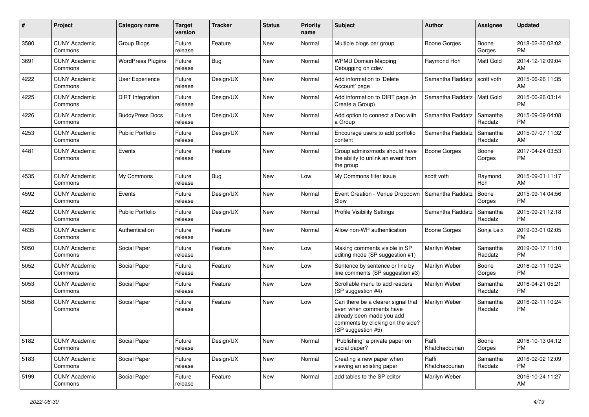| #    | Project                         | <b>Category name</b>     | <b>Target</b><br>version | <b>Tracker</b> | <b>Status</b> | <b>Priority</b><br>name | Subject                                                                                                                                               | Author                  | <b>Assignee</b>     | <b>Updated</b>                |
|------|---------------------------------|--------------------------|--------------------------|----------------|---------------|-------------------------|-------------------------------------------------------------------------------------------------------------------------------------------------------|-------------------------|---------------------|-------------------------------|
| 3580 | <b>CUNY Academic</b><br>Commons | <b>Group Blogs</b>       | Future<br>release        | Feature        | <b>New</b>    | Normal                  | Multiple blogs per group                                                                                                                              | Boone Gorges            | Boone<br>Gorges     | 2018-02-20 02:02<br><b>PM</b> |
| 3691 | <b>CUNY Academic</b><br>Commons | <b>WordPress Plugins</b> | Future<br>release        | Bug            | New           | Normal                  | <b>WPMU Domain Mapping</b><br>Debugging on cdev                                                                                                       | Raymond Hoh             | Matt Gold           | 2014-12-12 09:04<br>AM        |
| 4222 | <b>CUNY Academic</b><br>Commons | <b>User Experience</b>   | Future<br>release        | Design/UX      | <b>New</b>    | Normal                  | Add information to 'Delete<br>Account' page                                                                                                           | Samantha Raddatz        | scott voth          | 2015-06-26 11:35<br>AM        |
| 4225 | <b>CUNY Academic</b><br>Commons | <b>DiRT</b> Integration  | Future<br>release        | Design/UX      | <b>New</b>    | Normal                  | Add information to DIRT page (in<br>Create a Group)                                                                                                   | Samantha Raddatz        | Matt Gold           | 2015-06-26 03:14<br><b>PM</b> |
| 4226 | <b>CUNY Academic</b><br>Commons | <b>BuddyPress Docs</b>   | Future<br>release        | Design/UX      | New           | Normal                  | Add option to connect a Doc with<br>a Group                                                                                                           | Samantha Raddatz        | Samantha<br>Raddatz | 2015-09-09 04:08<br><b>PM</b> |
| 4253 | <b>CUNY Academic</b><br>Commons | <b>Public Portfolio</b>  | Future<br>release        | Design/UX      | <b>New</b>    | Normal                  | Encourage users to add portfolio<br>content                                                                                                           | Samantha Raddatz        | Samantha<br>Raddatz | 2015-07-07 11:32<br>AM        |
| 4481 | <b>CUNY Academic</b><br>Commons | Events                   | Future<br>release        | Feature        | <b>New</b>    | Normal                  | Group admins/mods should have<br>the ability to unlink an event from<br>the group                                                                     | <b>Boone Gorges</b>     | Boone<br>Gorges     | 2017-04-24 03:53<br><b>PM</b> |
| 4535 | <b>CUNY Academic</b><br>Commons | My Commons               | Future<br>release        | Bug            | <b>New</b>    | Low                     | My Commons filter issue                                                                                                                               | scott voth              | Raymond<br>Hoh      | 2015-09-01 11:17<br>AM        |
| 4592 | <b>CUNY Academic</b><br>Commons | Events                   | Future<br>release        | Design/UX      | <b>New</b>    | Normal                  | Event Creation - Venue Dropdown<br>Slow                                                                                                               | Samantha Raddatz        | Boone<br>Gorges     | 2015-09-14 04:56<br><b>PM</b> |
| 4622 | <b>CUNY Academic</b><br>Commons | <b>Public Portfolio</b>  | Future<br>release        | Design/UX      | New           | Normal                  | <b>Profile Visibility Settings</b>                                                                                                                    | Samantha Raddatz        | Samantha<br>Raddatz | 2015-09-21 12:18<br><b>PM</b> |
| 4635 | <b>CUNY Academic</b><br>Commons | Authentication           | Future<br>release        | Feature        | <b>New</b>    | Normal                  | Allow non-WP authentication                                                                                                                           | <b>Boone Gorges</b>     | Sonja Leix          | 2019-03-01 02:05<br><b>PM</b> |
| 5050 | <b>CUNY Academic</b><br>Commons | Social Paper             | Future<br>release        | Feature        | <b>New</b>    | Low                     | Making comments visible in SP<br>editing mode (SP suggestion #1)                                                                                      | Marilyn Weber           | Samantha<br>Raddatz | 2019-09-17 11:10<br><b>PM</b> |
| 5052 | <b>CUNY Academic</b><br>Commons | Social Paper             | Future<br>release        | Feature        | <b>New</b>    | Low                     | Sentence by sentence or line by<br>line comments (SP suggestion #3)                                                                                   | Marilyn Weber           | Boone<br>Gorges     | 2016-02-11 10:24<br><b>PM</b> |
| 5053 | <b>CUNY Academic</b><br>Commons | Social Paper             | Future<br>release        | Feature        | New           | Low                     | Scrollable menu to add readers<br>(SP suggestion #4)                                                                                                  | Marilyn Weber           | Samantha<br>Raddatz | 2016-04-21 05:21<br><b>PM</b> |
| 5058 | <b>CUNY Academic</b><br>Commons | Social Paper             | Future<br>release        | Feature        | <b>New</b>    | Low                     | Can there be a clearer signal that<br>even when comments have<br>already been made you add<br>comments by clicking on the side?<br>(SP suggestion #5) | Marilyn Weber           | Samantha<br>Raddatz | 2016-02-11 10:24<br><b>PM</b> |
| 5182 | <b>CUNY Academic</b><br>Commons | Social Paper             | Future<br>release        | Design/UX      | New           | Normal                  | "Publishing" a private paper on<br>social paper?                                                                                                      | Raffi<br>Khatchadourian | Boone<br>Gorges     | 2016-10-13 04:12<br><b>PM</b> |
| 5183 | <b>CUNY Academic</b><br>Commons | Social Paper             | Future<br>release        | Design/UX      | New           | Normal                  | Creating a new paper when<br>viewing an existing paper                                                                                                | Raffi<br>Khatchadourian | Samantha<br>Raddatz | 2016-02-02 12:09<br><b>PM</b> |
| 5199 | <b>CUNY Academic</b><br>Commons | Social Paper             | Future<br>release        | Feature        | New           | Normal                  | add tables to the SP editor                                                                                                                           | Marilyn Weber           |                     | 2016-10-24 11:27<br>AM        |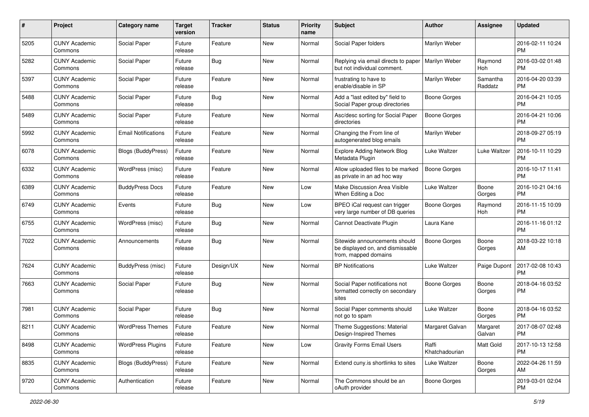| #    | Project                         | Category name              | <b>Target</b><br>version | <b>Tracker</b> | <b>Status</b> | <b>Priority</b><br>name | Subject                                                                                   | <b>Author</b>           | <b>Assignee</b>     | <b>Updated</b>                |
|------|---------------------------------|----------------------------|--------------------------|----------------|---------------|-------------------------|-------------------------------------------------------------------------------------------|-------------------------|---------------------|-------------------------------|
| 5205 | <b>CUNY Academic</b><br>Commons | Social Paper               | Future<br>release        | Feature        | <b>New</b>    | Normal                  | Social Paper folders                                                                      | Marilyn Weber           |                     | 2016-02-11 10:24<br><b>PM</b> |
| 5282 | <b>CUNY Academic</b><br>Commons | Social Paper               | Future<br>release        | Bug            | New           | Normal                  | Replying via email directs to paper<br>but not individual comment.                        | Marilyn Weber           | Raymond<br>Hoh      | 2016-03-02 01:48<br><b>PM</b> |
| 5397 | <b>CUNY Academic</b><br>Commons | Social Paper               | Future<br>release        | Feature        | New           | Normal                  | frustrating to have to<br>enable/disable in SP                                            | Marilyn Weber           | Samantha<br>Raddatz | 2016-04-20 03:39<br><b>PM</b> |
| 5488 | <b>CUNY Academic</b><br>Commons | Social Paper               | Future<br>release        | Bug            | New           | Normal                  | Add a "last edited by" field to<br>Social Paper group directories                         | Boone Gorges            |                     | 2016-04-21 10:05<br>PM.       |
| 5489 | <b>CUNY Academic</b><br>Commons | Social Paper               | Future<br>release        | Feature        | New           | Normal                  | Asc/desc sorting for Social Paper<br>directories                                          | Boone Gorges            |                     | 2016-04-21 10:06<br><b>PM</b> |
| 5992 | <b>CUNY Academic</b><br>Commons | <b>Email Notifications</b> | Future<br>release        | Feature        | New           | Normal                  | Changing the From line of<br>autogenerated blog emails                                    | Marilyn Weber           |                     | 2018-09-27 05:19<br>PM.       |
| 6078 | <b>CUNY Academic</b><br>Commons | <b>Blogs (BuddyPress)</b>  | Future<br>release        | Feature        | New           | Normal                  | <b>Explore Adding Network Blog</b><br>Metadata Plugin                                     | Luke Waltzer            | Luke Waltzer        | 2016-10-11 10:29<br>PM.       |
| 6332 | <b>CUNY Academic</b><br>Commons | WordPress (misc)           | Future<br>release        | Feature        | New           | Normal                  | Allow uploaded files to be marked<br>as private in an ad hoc way                          | <b>Boone Gorges</b>     |                     | 2016-10-17 11:41<br>PM.       |
| 6389 | <b>CUNY Academic</b><br>Commons | <b>BuddyPress Docs</b>     | Future<br>release        | Feature        | New           | Low                     | Make Discussion Area Visible<br>When Editing a Doc                                        | Luke Waltzer            | Boone<br>Gorges     | 2016-10-21 04:16<br><b>PM</b> |
| 6749 | <b>CUNY Academic</b><br>Commons | Events                     | Future<br>release        | Bug            | New           | Low                     | BPEO iCal request can trigger<br>very large number of DB queries                          | Boone Gorges            | Raymond<br>Hoh      | 2016-11-15 10:09<br><b>PM</b> |
| 6755 | <b>CUNY Academic</b><br>Commons | WordPress (misc)           | Future<br>release        | Bug            | New           | Normal                  | Cannot Deactivate Plugin                                                                  | Laura Kane              |                     | 2016-11-16 01:12<br><b>PM</b> |
| 7022 | <b>CUNY Academic</b><br>Commons | Announcements              | Future<br>release        | Bug            | New           | Normal                  | Sitewide announcements should<br>be displayed on, and dismissable<br>from, mapped domains | Boone Gorges            | Boone<br>Gorges     | 2018-03-22 10:18<br>AM        |
| 7624 | <b>CUNY Academic</b><br>Commons | <b>BuddyPress</b> (misc)   | Future<br>release        | Design/UX      | New           | Normal                  | <b>BP Notifications</b>                                                                   | Luke Waltzer            | Paige Dupont        | 2017-02-08 10:43<br><b>PM</b> |
| 7663 | <b>CUNY Academic</b><br>Commons | Social Paper               | Future<br>release        | Bug            | New           | Normal                  | Social Paper notifications not<br>formatted correctly on secondary<br>sites               | Boone Gorges            | Boone<br>Gorges     | 2018-04-16 03:52<br>PM.       |
| 7981 | <b>CUNY Academic</b><br>Commons | Social Paper               | Future<br>release        | Bug            | New           | Normal                  | Social Paper comments should<br>not go to spam                                            | Luke Waltzer            | Boone<br>Gorges     | 2018-04-16 03:52<br>PM.       |
| 8211 | <b>CUNY Academic</b><br>Commons | <b>WordPress Themes</b>    | Future<br>release        | Feature        | New           | Normal                  | Theme Suggestions: Material<br>Design-Inspired Themes                                     | Margaret Galvan         | Margaret<br>Galvan  | 2017-08-07 02:48<br>PM        |
| 8498 | <b>CUNY Academic</b><br>Commons | <b>WordPress Plugins</b>   | Future<br>release        | Feature        | New           | Low                     | <b>Gravity Forms Email Users</b>                                                          | Raffi<br>Khatchadourian | Matt Gold           | 2017-10-13 12:58<br><b>PM</b> |
| 8835 | <b>CUNY Academic</b><br>Commons | <b>Blogs (BuddyPress)</b>  | Future<br>release        | Feature        | New           | Normal                  | Extend cuny.is shortlinks to sites                                                        | Luke Waltzer            | Boone<br>Gorges     | 2022-04-26 11:59<br>AM        |
| 9720 | <b>CUNY Academic</b><br>Commons | Authentication             | Future<br>release        | Feature        | New           | Normal                  | The Commons should be an<br>oAuth provider                                                | Boone Gorges            |                     | 2019-03-01 02:04<br><b>PM</b> |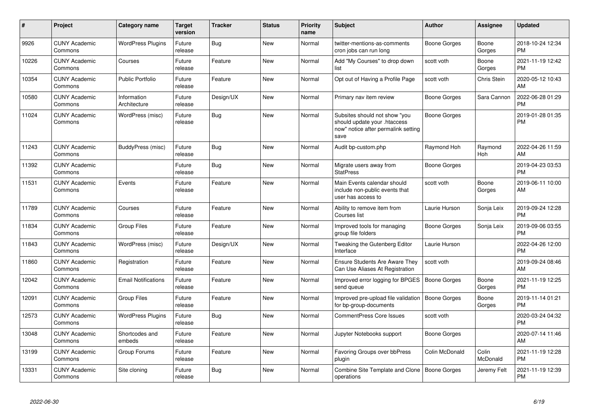| $\pmb{\sharp}$ | Project                         | <b>Category name</b>        | <b>Target</b><br>version | <b>Tracker</b> | <b>Status</b> | <b>Priority</b><br>name | <b>Subject</b>                                                                                               | <b>Author</b>       | Assignee          | <b>Updated</b>                |
|----------------|---------------------------------|-----------------------------|--------------------------|----------------|---------------|-------------------------|--------------------------------------------------------------------------------------------------------------|---------------------|-------------------|-------------------------------|
| 9926           | <b>CUNY Academic</b><br>Commons | <b>WordPress Plugins</b>    | Future<br>release        | Bug            | <b>New</b>    | Normal                  | twitter-mentions-as-comments<br>cron jobs can run long                                                       | Boone Gorges        | Boone<br>Gorges   | 2018-10-24 12:34<br><b>PM</b> |
| 10226          | <b>CUNY Academic</b><br>Commons | Courses                     | Future<br>release        | Feature        | <b>New</b>    | Normal                  | Add "My Courses" to drop down<br>list                                                                        | scott voth          | Boone<br>Gorges   | 2021-11-19 12:42<br><b>PM</b> |
| 10354          | <b>CUNY Academic</b><br>Commons | <b>Public Portfolio</b>     | Future<br>release        | Feature        | New           | Normal                  | Opt out of Having a Profile Page                                                                             | scott voth          | Chris Stein       | 2020-05-12 10:43<br>AM        |
| 10580          | <b>CUNY Academic</b><br>Commons | Information<br>Architecture | Future<br>release        | Design/UX      | New           | Normal                  | Primary nav item review                                                                                      | Boone Gorges        | Sara Cannon       | 2022-06-28 01:29<br><b>PM</b> |
| 11024          | <b>CUNY Academic</b><br>Commons | WordPress (misc)            | Future<br>release        | Bug            | New           | Normal                  | Subsites should not show "you<br>should update your .htaccess<br>now" notice after permalink setting<br>save | Boone Gorges        |                   | 2019-01-28 01:35<br><b>PM</b> |
| 11243          | <b>CUNY Academic</b><br>Commons | BuddyPress (misc)           | Future<br>release        | Bug            | <b>New</b>    | Normal                  | Audit bp-custom.php                                                                                          | Raymond Hoh         | Raymond<br>Hoh    | 2022-04-26 11:59<br>AM        |
| 11392          | <b>CUNY Academic</b><br>Commons |                             | Future<br>release        | Bug            | <b>New</b>    | Normal                  | Migrate users away from<br><b>StatPress</b>                                                                  | Boone Gorges        |                   | 2019-04-23 03:53<br><b>PM</b> |
| 11531          | <b>CUNY Academic</b><br>Commons | Events                      | Future<br>release        | Feature        | New           | Normal                  | Main Events calendar should<br>include non-public events that<br>user has access to                          | scott voth          | Boone<br>Gorges   | 2019-06-11 10:00<br>AM        |
| 11789          | <b>CUNY Academic</b><br>Commons | Courses                     | Future<br>release        | Feature        | <b>New</b>    | Normal                  | Ability to remove item from<br>Courses list                                                                  | Laurie Hurson       | Sonja Leix        | 2019-09-24 12:28<br><b>PM</b> |
| 11834          | <b>CUNY Academic</b><br>Commons | <b>Group Files</b>          | Future<br>release        | Feature        | <b>New</b>    | Normal                  | Improved tools for managing<br>group file folders                                                            | Boone Gorges        | Sonja Leix        | 2019-09-06 03:55<br><b>PM</b> |
| 11843          | <b>CUNY Academic</b><br>Commons | WordPress (misc)            | Future<br>release        | Design/UX      | <b>New</b>    | Normal                  | Tweaking the Gutenberg Editor<br>Interface                                                                   | Laurie Hurson       |                   | 2022-04-26 12:00<br><b>PM</b> |
| 11860          | <b>CUNY Academic</b><br>Commons | Registration                | Future<br>release        | Feature        | <b>New</b>    | Normal                  | <b>Ensure Students Are Aware They</b><br>Can Use Aliases At Registration                                     | scott voth          |                   | 2019-09-24 08:46<br>AM        |
| 12042          | <b>CUNY Academic</b><br>Commons | <b>Email Notifications</b>  | Future<br>release        | Feature        | New           | Normal                  | Improved error logging for BPGES<br>send queue                                                               | <b>Boone Gorges</b> | Boone<br>Gorges   | 2021-11-19 12:25<br><b>PM</b> |
| 12091          | <b>CUNY Academic</b><br>Commons | <b>Group Files</b>          | Future<br>release        | Feature        | New           | Normal                  | Improved pre-upload file validation<br>for bp-group-documents                                                | Boone Gorges        | Boone<br>Gorges   | 2019-11-14 01:21<br><b>PM</b> |
| 12573          | <b>CUNY Academic</b><br>Commons | <b>WordPress Plugins</b>    | Future<br>release        | Bug            | New           | Normal                  | <b>CommentPress Core Issues</b>                                                                              | scott voth          |                   | 2020-03-24 04:32<br><b>PM</b> |
| 13048          | <b>CUNY Academic</b><br>Commons | Shortcodes and<br>embeds    | Future<br>release        | Feature        | New           | Normal                  | Jupyter Notebooks support                                                                                    | Boone Gorges        |                   | 2020-07-14 11:46<br>AM        |
| 13199          | <b>CUNY Academic</b><br>Commons | Group Forums                | Future<br>release        | Feature        | <b>New</b>    | Normal                  | Favoring Groups over bbPress<br>plugin                                                                       | Colin McDonald      | Colin<br>McDonald | 2021-11-19 12:28<br><b>PM</b> |
| 13331          | <b>CUNY Academic</b><br>Commons | Site cloning                | Future<br>release        | <b>Bug</b>     | <b>New</b>    | Normal                  | Combine Site Template and Clone<br>operations                                                                | Boone Gorges        | Jeremy Felt       | 2021-11-19 12:39<br><b>PM</b> |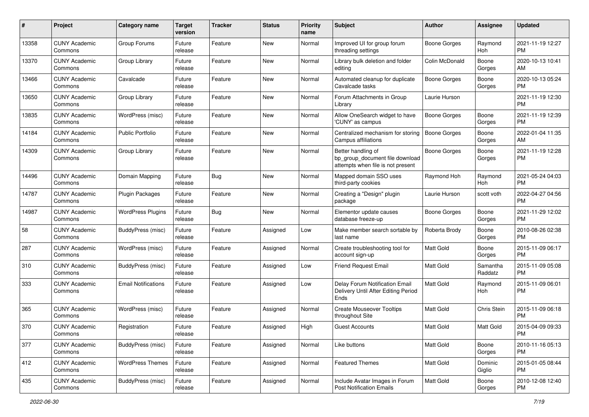| #     | Project                         | <b>Category name</b>       | <b>Target</b><br>version | <b>Tracker</b> | <b>Status</b> | <b>Priority</b><br>name | <b>Subject</b>                                                                             | Author              | Assignee            | <b>Updated</b>                |
|-------|---------------------------------|----------------------------|--------------------------|----------------|---------------|-------------------------|--------------------------------------------------------------------------------------------|---------------------|---------------------|-------------------------------|
| 13358 | <b>CUNY Academic</b><br>Commons | Group Forums               | Future<br>release        | Feature        | New           | Normal                  | Improved UI for group forum<br>threading settings                                          | Boone Gorges        | Raymond<br>Hoh      | 2021-11-19 12:27<br><b>PM</b> |
| 13370 | <b>CUNY Academic</b><br>Commons | Group Library              | Future<br>release        | Feature        | New           | Normal                  | Library bulk deletion and folder<br>editing                                                | Colin McDonald      | Boone<br>Gorges     | 2020-10-13 10:41<br>AM        |
| 13466 | <b>CUNY Academic</b><br>Commons | Cavalcade                  | Future<br>release        | Feature        | New           | Normal                  | Automated cleanup for duplicate<br>Cavalcade tasks                                         | Boone Gorges        | Boone<br>Gorges     | 2020-10-13 05:24<br><b>PM</b> |
| 13650 | <b>CUNY Academic</b><br>Commons | Group Library              | Future<br>release        | Feature        | New           | Normal                  | Forum Attachments in Group<br>Library                                                      | Laurie Hurson       |                     | 2021-11-19 12:30<br><b>PM</b> |
| 13835 | <b>CUNY Academic</b><br>Commons | WordPress (misc)           | Future<br>release        | Feature        | New           | Normal                  | Allow OneSearch widget to have<br>'CUNY' as campus                                         | Boone Gorges        | Boone<br>Gorges     | 2021-11-19 12:39<br><b>PM</b> |
| 14184 | <b>CUNY Academic</b><br>Commons | <b>Public Portfolio</b>    | Future<br>release        | Feature        | New           | Normal                  | Centralized mechanism for storing<br>Campus affiliations                                   | <b>Boone Gorges</b> | Boone<br>Gorges     | 2022-01-04 11:35<br>AM        |
| 14309 | <b>CUNY Academic</b><br>Commons | Group Library              | Future<br>release        | Feature        | New           | Normal                  | Better handling of<br>bp_group_document file download<br>attempts when file is not present | <b>Boone Gorges</b> | Boone<br>Gorges     | 2021-11-19 12:28<br><b>PM</b> |
| 14496 | <b>CUNY Academic</b><br>Commons | Domain Mapping             | Future<br>release        | Bug            | New           | Normal                  | Mapped domain SSO uses<br>third-party cookies                                              | Raymond Hoh         | Raymond<br>Hoh      | 2021-05-24 04:03<br><b>PM</b> |
| 14787 | <b>CUNY Academic</b><br>Commons | Plugin Packages            | Future<br>release        | Feature        | New           | Normal                  | Creating a "Design" plugin<br>package                                                      | Laurie Hurson       | scott voth          | 2022-04-27 04:56<br><b>PM</b> |
| 14987 | <b>CUNY Academic</b><br>Commons | <b>WordPress Plugins</b>   | Future<br>release        | Bug            | New           | Normal                  | Elementor update causes<br>database freeze-up                                              | <b>Boone Gorges</b> | Boone<br>Gorges     | 2021-11-29 12:02<br><b>PM</b> |
| 58    | <b>CUNY Academic</b><br>Commons | <b>BuddyPress</b> (misc)   | Future<br>release        | Feature        | Assigned      | Low                     | Make member search sortable by<br>last name                                                | Roberta Brody       | Boone<br>Gorges     | 2010-08-26 02:38<br><b>PM</b> |
| 287   | <b>CUNY Academic</b><br>Commons | WordPress (misc)           | Future<br>release        | Feature        | Assigned      | Normal                  | Create troubleshooting tool for<br>account sign-up                                         | Matt Gold           | Boone<br>Gorges     | 2015-11-09 06:17<br><b>PM</b> |
| 310   | <b>CUNY Academic</b><br>Commons | BuddyPress (misc)          | Future<br>release        | Feature        | Assigned      | Low                     | Friend Request Email                                                                       | <b>Matt Gold</b>    | Samantha<br>Raddatz | 2015-11-09 05:08<br><b>PM</b> |
| 333   | <b>CUNY Academic</b><br>Commons | <b>Email Notifications</b> | Future<br>release        | Feature        | Assigned      | Low                     | Delay Forum Notification Email<br>Delivery Until After Editing Period<br>Ends              | Matt Gold           | Raymond<br>Hoh      | 2015-11-09 06:01<br><b>PM</b> |
| 365   | <b>CUNY Academic</b><br>Commons | WordPress (misc)           | Future<br>release        | Feature        | Assigned      | Normal                  | <b>Create Mouseover Tooltips</b><br>throughout Site                                        | Matt Gold           | Chris Stein         | 2015-11-09 06:18<br><b>PM</b> |
| 370   | <b>CUNY Academic</b><br>Commons | Registration               | Future<br>release        | Feature        | Assigned      | High                    | Guest Accounts                                                                             | Matt Gold           | <b>Matt Gold</b>    | 2015-04-09 09:33<br>PM        |
| 377   | <b>CUNY Academic</b><br>Commons | BuddyPress (misc)          | Future<br>release        | Feature        | Assigned      | Normal                  | Like buttons                                                                               | Matt Gold           | Boone<br>Gorges     | 2010-11-16 05:13<br><b>PM</b> |
| 412   | <b>CUNY Academic</b><br>Commons | <b>WordPress Themes</b>    | Future<br>release        | Feature        | Assigned      | Normal                  | <b>Featured Themes</b>                                                                     | Matt Gold           | Dominic<br>Giglio   | 2015-01-05 08:44<br><b>PM</b> |
| 435   | <b>CUNY Academic</b><br>Commons | BuddyPress (misc)          | Future<br>release        | Feature        | Assigned      | Normal                  | Include Avatar Images in Forum<br><b>Post Notification Emails</b>                          | Matt Gold           | Boone<br>Gorges     | 2010-12-08 12:40<br>PM        |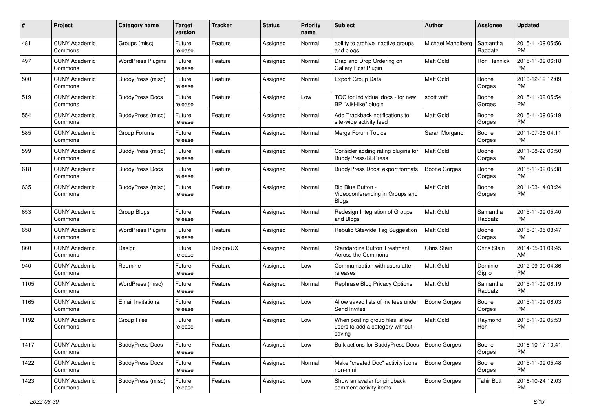| #    | Project                         | <b>Category name</b>     | <b>Target</b><br>version | <b>Tracker</b> | <b>Status</b> | <b>Priority</b><br>name | <b>Subject</b>                                                               | Author              | <b>Assignee</b>     | <b>Updated</b>                |
|------|---------------------------------|--------------------------|--------------------------|----------------|---------------|-------------------------|------------------------------------------------------------------------------|---------------------|---------------------|-------------------------------|
| 481  | <b>CUNY Academic</b><br>Commons | Groups (misc)            | Future<br>release        | Feature        | Assigned      | Normal                  | ability to archive inactive groups<br>and blogs                              | Michael Mandiberg   | Samantha<br>Raddatz | 2015-11-09 05:56<br>PM        |
| 497  | <b>CUNY Academic</b><br>Commons | <b>WordPress Plugins</b> | Future<br>release        | Feature        | Assigned      | Normal                  | Drag and Drop Ordering on<br>Gallery Post Plugin                             | <b>Matt Gold</b>    | Ron Rennick         | 2015-11-09 06:18<br><b>PM</b> |
| 500  | <b>CUNY Academic</b><br>Commons | <b>BuddyPress (misc)</b> | Future<br>release        | Feature        | Assigned      | Normal                  | Export Group Data                                                            | Matt Gold           | Boone<br>Gorges     | 2010-12-19 12:09<br><b>PM</b> |
| 519  | <b>CUNY Academic</b><br>Commons | <b>BuddyPress Docs</b>   | Future<br>release        | Feature        | Assigned      | Low                     | TOC for individual docs - for new<br>BP "wiki-like" plugin                   | scott voth          | Boone<br>Gorges     | 2015-11-09 05:54<br>PM        |
| 554  | <b>CUNY Academic</b><br>Commons | BuddyPress (misc)        | Future<br>release        | Feature        | Assigned      | Normal                  | Add Trackback notifications to<br>site-wide activity feed                    | <b>Matt Gold</b>    | Boone<br>Gorges     | 2015-11-09 06:19<br><b>PM</b> |
| 585  | <b>CUNY Academic</b><br>Commons | Group Forums             | Future<br>release        | Feature        | Assigned      | Normal                  | Merge Forum Topics                                                           | Sarah Morgano       | Boone<br>Gorges     | 2011-07-06 04:11<br><b>PM</b> |
| 599  | <b>CUNY Academic</b><br>Commons | BuddyPress (misc)        | Future<br>release        | Feature        | Assigned      | Normal                  | Consider adding rating plugins for<br><b>BuddyPress/BBPress</b>              | <b>Matt Gold</b>    | Boone<br>Gorges     | 2011-08-22 06:50<br><b>PM</b> |
| 618  | <b>CUNY Academic</b><br>Commons | <b>BuddyPress Docs</b>   | Future<br>release        | Feature        | Assigned      | Normal                  | BuddyPress Docs: export formats                                              | <b>Boone Gorges</b> | Boone<br>Gorges     | 2015-11-09 05:38<br><b>PM</b> |
| 635  | <b>CUNY Academic</b><br>Commons | BuddyPress (misc)        | Future<br>release        | Feature        | Assigned      | Normal                  | Big Blue Button -<br>Videoconferencing in Groups and<br><b>Blogs</b>         | <b>Matt Gold</b>    | Boone<br>Gorges     | 2011-03-14 03:24<br><b>PM</b> |
| 653  | <b>CUNY Academic</b><br>Commons | Group Blogs              | Future<br>release        | Feature        | Assigned      | Normal                  | Redesign Integration of Groups<br>and Blogs                                  | <b>Matt Gold</b>    | Samantha<br>Raddatz | 2015-11-09 05:40<br><b>PM</b> |
| 658  | <b>CUNY Academic</b><br>Commons | <b>WordPress Plugins</b> | Future<br>release        | Feature        | Assigned      | Normal                  | Rebulid Sitewide Tag Suggestion                                              | Matt Gold           | Boone<br>Gorges     | 2015-01-05 08:47<br><b>PM</b> |
| 860  | CUNY Academic<br>Commons        | Design                   | Future<br>release        | Design/UX      | Assigned      | Normal                  | <b>Standardize Button Treatment</b><br>Across the Commons                    | Chris Stein         | <b>Chris Stein</b>  | 2014-05-01 09:45<br>AM        |
| 940  | <b>CUNY Academic</b><br>Commons | Redmine                  | Future<br>release        | Feature        | Assigned      | Low                     | Communication with users after<br>releases                                   | Matt Gold           | Dominic<br>Giglio   | 2012-09-09 04:36<br><b>PM</b> |
| 1105 | <b>CUNY Academic</b><br>Commons | WordPress (misc)         | Future<br>release        | Feature        | Assigned      | Normal                  | Rephrase Blog Privacy Options                                                | Matt Gold           | Samantha<br>Raddatz | 2015-11-09 06:19<br><b>PM</b> |
| 1165 | <b>CUNY Academic</b><br>Commons | <b>Email Invitations</b> | Future<br>release        | Feature        | Assigned      | Low                     | Allow saved lists of invitees under<br>Send Invites                          | <b>Boone Gorges</b> | Boone<br>Gorges     | 2015-11-09 06:03<br><b>PM</b> |
| 1192 | <b>CUNY Academic</b><br>Commons | <b>Group Files</b>       | Future<br>release        | Feature        | Assigned      | Low                     | When posting group files, allow<br>users to add a category without<br>saving | <b>Matt Gold</b>    | Raymond<br>Hoh      | 2015-11-09 05:53<br>PM        |
| 1417 | <b>CUNY Academic</b><br>Commons | <b>BuddyPress Docs</b>   | Future<br>release        | Feature        | Assigned      | Low                     | <b>Bulk actions for BuddyPress Docs</b>                                      | Boone Gorges        | Boone<br>Gorges     | 2016-10-17 10:41<br>PM        |
| 1422 | <b>CUNY Academic</b><br>Commons | <b>BuddyPress Docs</b>   | Future<br>release        | Feature        | Assigned      | Normal                  | Make "created Doc" activity icons<br>non-mini                                | <b>Boone Gorges</b> | Boone<br>Gorges     | 2015-11-09 05:48<br><b>PM</b> |
| 1423 | <b>CUNY Academic</b><br>Commons | BuddyPress (misc)        | Future<br>release        | Feature        | Assigned      | Low                     | Show an avatar for pingback<br>comment activity items                        | Boone Gorges        | <b>Tahir Butt</b>   | 2016-10-24 12:03<br>PM        |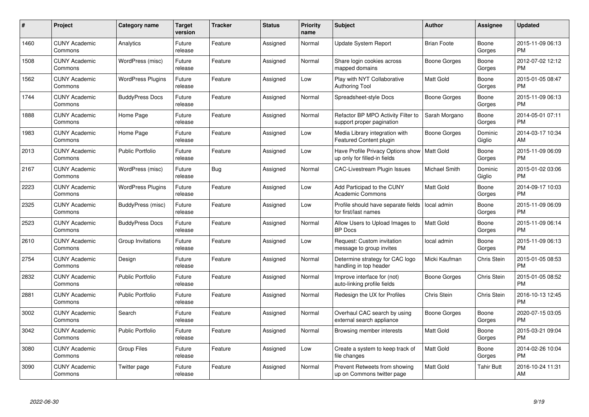| $\#$ | Project                         | <b>Category name</b>     | <b>Target</b><br>version | <b>Tracker</b> | <b>Status</b> | <b>Priority</b><br>name | <b>Subject</b>                                                    | <b>Author</b>      | Assignee           | <b>Updated</b>                |
|------|---------------------------------|--------------------------|--------------------------|----------------|---------------|-------------------------|-------------------------------------------------------------------|--------------------|--------------------|-------------------------------|
| 1460 | <b>CUNY Academic</b><br>Commons | Analytics                | Future<br>release        | Feature        | Assigned      | Normal                  | <b>Update System Report</b>                                       | <b>Brian Foote</b> | Boone<br>Gorges    | 2015-11-09 06:13<br><b>PM</b> |
| 1508 | <b>CUNY Academic</b><br>Commons | WordPress (misc)         | Future<br>release        | Feature        | Assigned      | Normal                  | Share login cookies across<br>mapped domains                      | Boone Gorges       | Boone<br>Gorges    | 2012-07-02 12:12<br><b>PM</b> |
| 1562 | <b>CUNY Academic</b><br>Commons | <b>WordPress Plugins</b> | Future<br>release        | Feature        | Assigned      | Low                     | Play with NYT Collaborative<br><b>Authoring Tool</b>              | <b>Matt Gold</b>   | Boone<br>Gorges    | 2015-01-05 08:47<br><b>PM</b> |
| 1744 | <b>CUNY Academic</b><br>Commons | <b>BuddyPress Docs</b>   | Future<br>release        | Feature        | Assigned      | Normal                  | Spreadsheet-style Docs                                            | Boone Gorges       | Boone<br>Gorges    | 2015-11-09 06:13<br><b>PM</b> |
| 1888 | <b>CUNY Academic</b><br>Commons | Home Page                | Future<br>release        | Feature        | Assigned      | Normal                  | Refactor BP MPO Activity Filter to<br>support proper pagination   | Sarah Morgano      | Boone<br>Gorges    | 2014-05-01 07:11<br><b>PM</b> |
| 1983 | <b>CUNY Academic</b><br>Commons | Home Page                | Future<br>release        | Feature        | Assigned      | Low                     | Media Library integration with<br><b>Featured Content plugin</b>  | Boone Gorges       | Dominic<br>Giglio  | 2014-03-17 10:34<br>AM        |
| 2013 | <b>CUNY Academic</b><br>Commons | <b>Public Portfolio</b>  | Future<br>release        | Feature        | Assigned      | Low                     | Have Profile Privacy Options show<br>up only for filled-in fields | <b>Matt Gold</b>   | Boone<br>Gorges    | 2015-11-09 06:09<br><b>PM</b> |
| 2167 | <b>CUNY Academic</b><br>Commons | WordPress (misc)         | Future<br>release        | Bug            | Assigned      | Normal                  | <b>CAC-Livestream Plugin Issues</b>                               | Michael Smith      | Dominic<br>Giglio  | 2015-01-02 03:06<br><b>PM</b> |
| 2223 | <b>CUNY Academic</b><br>Commons | <b>WordPress Plugins</b> | Future<br>release        | Feature        | Assigned      | Low                     | Add Participad to the CUNY<br><b>Academic Commons</b>             | <b>Matt Gold</b>   | Boone<br>Gorges    | 2014-09-17 10:03<br><b>PM</b> |
| 2325 | <b>CUNY Academic</b><br>Commons | BuddyPress (misc)        | Future<br>release        | Feature        | Assigned      | Low                     | Profile should have separate fields<br>for first/last names       | local admin        | Boone<br>Gorges    | 2015-11-09 06:09<br><b>PM</b> |
| 2523 | <b>CUNY Academic</b><br>Commons | <b>BuddyPress Docs</b>   | Future<br>release        | Feature        | Assigned      | Normal                  | Allow Users to Upload Images to<br>BP Docs                        | <b>Matt Gold</b>   | Boone<br>Gorges    | 2015-11-09 06:14<br><b>PM</b> |
| 2610 | <b>CUNY Academic</b><br>Commons | Group Invitations        | Future<br>release        | Feature        | Assigned      | Low                     | Request: Custom invitation<br>message to group invites            | local admin        | Boone<br>Gorges    | 2015-11-09 06:13<br><b>PM</b> |
| 2754 | <b>CUNY Academic</b><br>Commons | Design                   | Future<br>release        | Feature        | Assigned      | Normal                  | Determine strategy for CAC logo<br>handling in top header         | Micki Kaufman      | <b>Chris Stein</b> | 2015-01-05 08:53<br><b>PM</b> |
| 2832 | <b>CUNY Academic</b><br>Commons | <b>Public Portfolio</b>  | Future<br>release        | Feature        | Assigned      | Normal                  | Improve interface for (not)<br>auto-linking profile fields        | Boone Gorges       | <b>Chris Stein</b> | 2015-01-05 08:52<br><b>PM</b> |
| 2881 | <b>CUNY Academic</b><br>Commons | <b>Public Portfolio</b>  | Future<br>release        | Feature        | Assigned      | Normal                  | Redesign the UX for Profiles                                      | Chris Stein        | Chris Stein        | 2016-10-13 12:45<br><b>PM</b> |
| 3002 | <b>CUNY Academic</b><br>Commons | Search                   | Future<br>release        | Feature        | Assigned      | Normal                  | Overhaul CAC search by using<br>external search appliance         | Boone Gorges       | Boone<br>Gorges    | 2020-07-15 03:05<br><b>PM</b> |
| 3042 | <b>CUNY Academic</b><br>Commons | <b>Public Portfolio</b>  | Future<br>release        | Feature        | Assigned      | Normal                  | Browsing member interests                                         | <b>Matt Gold</b>   | Boone<br>Gorges    | 2015-03-21 09:04<br><b>PM</b> |
| 3080 | <b>CUNY Academic</b><br>Commons | <b>Group Files</b>       | Future<br>release        | Feature        | Assigned      | Low                     | Create a system to keep track of<br>file changes                  | Matt Gold          | Boone<br>Gorges    | 2014-02-26 10:04<br><b>PM</b> |
| 3090 | <b>CUNY Academic</b><br>Commons | Twitter page             | Future<br>release        | Feature        | Assigned      | Normal                  | Prevent Retweets from showing<br>up on Commons twitter page       | <b>Matt Gold</b>   | <b>Tahir Butt</b>  | 2016-10-24 11:31<br>AM        |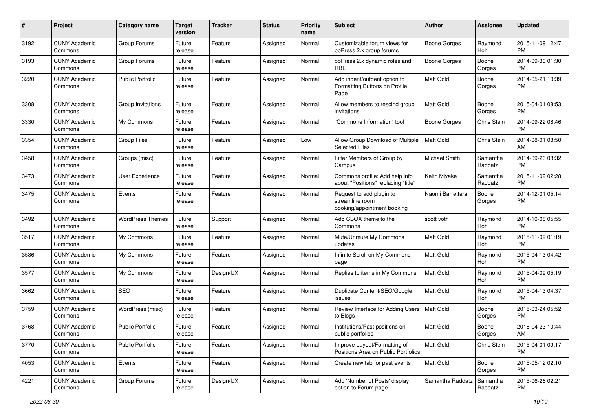| #    | Project                         | <b>Category name</b>    | <b>Target</b><br>version | <b>Tracker</b> | <b>Status</b> | <b>Priority</b><br>name | <b>Subject</b>                                                             | <b>Author</b>       | <b>Assignee</b>     | <b>Updated</b>                |
|------|---------------------------------|-------------------------|--------------------------|----------------|---------------|-------------------------|----------------------------------------------------------------------------|---------------------|---------------------|-------------------------------|
| 3192 | <b>CUNY Academic</b><br>Commons | Group Forums            | Future<br>release        | Feature        | Assigned      | Normal                  | Customizable forum views for<br>bbPress 2.x group forums                   | <b>Boone Gorges</b> | Raymond<br>Hoh      | 2015-11-09 12:47<br>PM.       |
| 3193 | <b>CUNY Academic</b><br>Commons | Group Forums            | Future<br>release        | Feature        | Assigned      | Normal                  | bbPress 2.x dynamic roles and<br><b>RBE</b>                                | <b>Boone Gorges</b> | Boone<br>Gorges     | 2014-09-30 01:30<br><b>PM</b> |
| 3220 | <b>CUNY Academic</b><br>Commons | <b>Public Portfolio</b> | Future<br>release        | Feature        | Assigned      | Normal                  | Add indent/outdent option to<br>Formatting Buttons on Profile<br>Page      | Matt Gold           | Boone<br>Gorges     | 2014-05-21 10:39<br><b>PM</b> |
| 3308 | <b>CUNY Academic</b><br>Commons | Group Invitations       | Future<br>release        | Feature        | Assigned      | Normal                  | Allow members to rescind group<br>invitations                              | Matt Gold           | Boone<br>Gorges     | 2015-04-01 08:53<br>PM.       |
| 3330 | <b>CUNY Academic</b><br>Commons | My Commons              | Future<br>release        | Feature        | Assigned      | Normal                  | 'Commons Information" tool                                                 | Boone Gorges        | Chris Stein         | 2014-09-22 08:46<br>PM.       |
| 3354 | <b>CUNY Academic</b><br>Commons | <b>Group Files</b>      | Future<br>release        | Feature        | Assigned      | Low                     | Allow Group Download of Multiple<br><b>Selected Files</b>                  | <b>Matt Gold</b>    | Chris Stein         | 2014-08-01 08:50<br>AM        |
| 3458 | <b>CUNY Academic</b><br>Commons | Groups (misc)           | Future<br>release        | Feature        | Assigned      | Normal                  | Filter Members of Group by<br>Campus                                       | Michael Smith       | Samantha<br>Raddatz | 2014-09-26 08:32<br><b>PM</b> |
| 3473 | <b>CUNY Academic</b><br>Commons | User Experience         | Future<br>release        | Feature        | Assigned      | Normal                  | Commons profile: Add help info<br>about "Positions" replacing "title"      | Keith Miyake        | Samantha<br>Raddatz | 2015-11-09 02:28<br><b>PM</b> |
| 3475 | <b>CUNY Academic</b><br>Commons | Events                  | Future<br>release        | Feature        | Assigned      | Normal                  | Request to add plugin to<br>streamline room<br>booking/appointment booking | Naomi Barrettara    | Boone<br>Gorges     | 2014-12-01 05:14<br>PM.       |
| 3492 | <b>CUNY Academic</b><br>Commons | <b>WordPress Themes</b> | Future<br>release        | Support        | Assigned      | Normal                  | Add CBOX theme to the<br>Commons                                           | scott voth          | Raymond<br>Hoh      | 2014-10-08 05:55<br>PM.       |
| 3517 | <b>CUNY Academic</b><br>Commons | My Commons              | Future<br>release        | Feature        | Assigned      | Normal                  | Mute/Unmute My Commons<br>updates                                          | <b>Matt Gold</b>    | Raymond<br>Hoh      | 2015-11-09 01:19<br><b>PM</b> |
| 3536 | <b>CUNY Academic</b><br>Commons | My Commons              | Future<br>release        | Feature        | Assigned      | Normal                  | Infinite Scroll on My Commons<br>page                                      | Matt Gold           | Raymond<br>Hoh      | 2015-04-13 04:42<br><b>PM</b> |
| 3577 | <b>CUNY Academic</b><br>Commons | My Commons              | Future<br>release        | Design/UX      | Assigned      | Normal                  | Replies to items in My Commons                                             | <b>Matt Gold</b>    | Raymond<br>Hoh      | 2015-04-09 05:19<br>PM.       |
| 3662 | <b>CUNY Academic</b><br>Commons | SEO                     | Future<br>release        | Feature        | Assigned      | Normal                  | Duplicate Content/SEO/Google<br>issues                                     | Matt Gold           | Raymond<br>Hoh      | 2015-04-13 04:37<br><b>PM</b> |
| 3759 | <b>CUNY Academic</b><br>Commons | WordPress (misc)        | Future<br>release        | Feature        | Assigned      | Normal                  | Review Interface for Adding Users<br>to Blogs                              | Matt Gold           | Boone<br>Gorges     | 2015-03-24 05:52<br>PM.       |
| 3768 | <b>CUNY Academic</b><br>Commons | <b>Public Portfolio</b> | Future<br>release        | Feature        | Assigned      | Normal                  | Institutions/Past positions on<br>public portfolios                        | Matt Gold           | Boone<br>Gorges     | 2018-04-23 10:44<br>AM        |
| 3770 | <b>CUNY Academic</b><br>Commons | <b>Public Portfolio</b> | Future<br>release        | Feature        | Assigned      | Normal                  | Improve Layout/Formatting of<br>Positions Area on Public Portfolios        | Matt Gold           | Chris Stein         | 2015-04-01 09:17<br><b>PM</b> |
| 4053 | <b>CUNY Academic</b><br>Commons | Events                  | Future<br>release        | Feature        | Assigned      | Normal                  | Create new tab for past events                                             | Matt Gold           | Boone<br>Gorges     | 2015-05-12 02:10<br><b>PM</b> |
| 4221 | <b>CUNY Academic</b><br>Commons | Group Forums            | Future<br>release        | Design/UX      | Assigned      | Normal                  | Add 'Number of Posts' display<br>option to Forum page                      | Samantha Raddatz    | Samantha<br>Raddatz | 2015-06-26 02:21<br><b>PM</b> |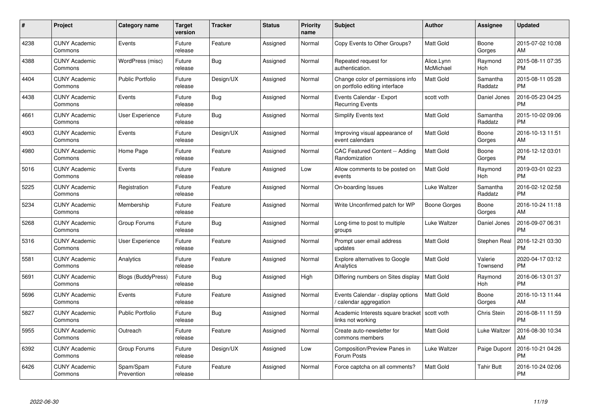| $\#$ | Project                         | <b>Category name</b>      | Target<br>version | <b>Tracker</b> | <b>Status</b> | Priority<br>name | <b>Subject</b>                                                     | <b>Author</b>           | <b>Assignee</b>     | <b>Updated</b>                |
|------|---------------------------------|---------------------------|-------------------|----------------|---------------|------------------|--------------------------------------------------------------------|-------------------------|---------------------|-------------------------------|
| 4238 | <b>CUNY Academic</b><br>Commons | Events                    | Future<br>release | Feature        | Assigned      | Normal           | Copy Events to Other Groups?                                       | <b>Matt Gold</b>        | Boone<br>Gorges     | 2015-07-02 10:08<br>AM        |
| 4388 | <b>CUNY Academic</b><br>Commons | WordPress (misc)          | Future<br>release | Bug            | Assigned      | Normal           | Repeated request for<br>authentication.                            | Alice.Lynn<br>McMichael | Raymond<br>Hoh      | 2015-08-11 07:35<br><b>PM</b> |
| 4404 | <b>CUNY Academic</b><br>Commons | <b>Public Portfolio</b>   | Future<br>release | Design/UX      | Assigned      | Normal           | Change color of permissions info<br>on portfolio editing interface | Matt Gold               | Samantha<br>Raddatz | 2015-08-11 05:28<br><b>PM</b> |
| 4438 | <b>CUNY Academic</b><br>Commons | Events                    | Future<br>release | Bug            | Assigned      | Normal           | Events Calendar - Export<br><b>Recurring Events</b>                | scott voth              | Daniel Jones        | 2016-05-23 04:25<br><b>PM</b> |
| 4661 | <b>CUNY Academic</b><br>Commons | User Experience           | Future<br>release | Bug            | Assigned      | Normal           | <b>Simplify Events text</b>                                        | Matt Gold               | Samantha<br>Raddatz | 2015-10-02 09:06<br><b>PM</b> |
| 4903 | <b>CUNY Academic</b><br>Commons | Events                    | Future<br>release | Design/UX      | Assigned      | Normal           | Improving visual appearance of<br>event calendars                  | <b>Matt Gold</b>        | Boone<br>Gorges     | 2016-10-13 11:51<br>AM        |
| 4980 | <b>CUNY Academic</b><br>Commons | Home Page                 | Future<br>release | Feature        | Assigned      | Normal           | <b>CAC Featured Content -- Adding</b><br>Randomization             | <b>Matt Gold</b>        | Boone<br>Gorges     | 2016-12-12 03:01<br><b>PM</b> |
| 5016 | <b>CUNY Academic</b><br>Commons | Events                    | Future<br>release | Feature        | Assigned      | Low              | Allow comments to be posted on<br>events                           | Matt Gold               | Raymond<br>Hoh      | 2019-03-01 02:23<br><b>PM</b> |
| 5225 | <b>CUNY Academic</b><br>Commons | Registration              | Future<br>release | Feature        | Assigned      | Normal           | On-boarding Issues                                                 | Luke Waltzer            | Samantha<br>Raddatz | 2016-02-12 02:58<br><b>PM</b> |
| 5234 | <b>CUNY Academic</b><br>Commons | Membership                | Future<br>release | Feature        | Assigned      | Normal           | Write Unconfirmed patch for WP                                     | Boone Gorges            | Boone<br>Gorges     | 2016-10-24 11:18<br>AM        |
| 5268 | <b>CUNY Academic</b><br>Commons | Group Forums              | Future<br>release | Bug            | Assigned      | Normal           | Long-time to post to multiple<br>groups                            | Luke Waltzer            | Daniel Jones        | 2016-09-07 06:31<br><b>PM</b> |
| 5316 | <b>CUNY Academic</b><br>Commons | <b>User Experience</b>    | Future<br>release | Feature        | Assigned      | Normal           | Prompt user email address<br>updates                               | Matt Gold               | Stephen Real        | 2016-12-21 03:30<br><b>PM</b> |
| 5581 | <b>CUNY Academic</b><br>Commons | Analytics                 | Future<br>release | Feature        | Assigned      | Normal           | Explore alternatives to Google<br>Analytics                        | <b>Matt Gold</b>        | Valerie<br>Townsend | 2020-04-17 03:12<br><b>PM</b> |
| 5691 | <b>CUNY Academic</b><br>Commons | <b>Blogs (BuddyPress)</b> | Future<br>release | Bug            | Assigned      | High             | Differing numbers on Sites display                                 | <b>Matt Gold</b>        | Raymond<br>Hoh      | 2016-06-13 01:37<br><b>PM</b> |
| 5696 | <b>CUNY Academic</b><br>Commons | Events                    | Future<br>release | Feature        | Assigned      | Normal           | Events Calendar - display options<br>calendar aggregation          | Matt Gold               | Boone<br>Gorges     | 2016-10-13 11:44<br>AM        |
| 5827 | <b>CUNY Academic</b><br>Commons | <b>Public Portfolio</b>   | Future<br>release | Bug            | Assigned      | Normal           | Academic Interests square bracket<br>links not working             | scott voth              | Chris Stein         | 2016-08-11 11:59<br><b>PM</b> |
| 5955 | <b>CUNY Academic</b><br>Commons | Outreach                  | Future<br>release | Feature        | Assigned      | Normal           | Create auto-newsletter for<br>commons members                      | <b>Matt Gold</b>        | Luke Waltzer        | 2016-08-30 10:34<br>AM        |
| 6392 | <b>CUNY Academic</b><br>Commons | Group Forums              | Future<br>release | Design/UX      | Assigned      | Low              | Composition/Preview Panes in<br>Forum Posts                        | Luke Waltzer            | Paige Dupont        | 2016-10-21 04:26<br><b>PM</b> |
| 6426 | CUNY Academic<br>Commons        | Spam/Spam<br>Prevention   | Future<br>release | Feature        | Assigned      | Normal           | Force captcha on all comments?                                     | <b>Matt Gold</b>        | Tahir Butt          | 2016-10-24 02:06<br><b>PM</b> |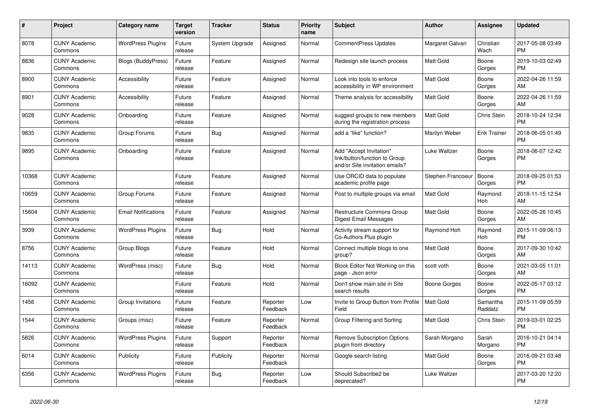| #     | Project                         | <b>Category name</b>       | Target<br>version | <b>Tracker</b> | <b>Status</b>        | Priority<br>name | <b>Subject</b>                                                                             | <b>Author</b>     | Assignee            | <b>Updated</b>                |
|-------|---------------------------------|----------------------------|-------------------|----------------|----------------------|------------------|--------------------------------------------------------------------------------------------|-------------------|---------------------|-------------------------------|
| 8078  | <b>CUNY Academic</b><br>Commons | <b>WordPress Plugins</b>   | Future<br>release | System Upgrade | Assigned             | Normal           | <b>CommentPress Updates</b>                                                                | Margaret Galvan   | Christian<br>Wach   | 2017-05-08 03:49<br><b>PM</b> |
| 8836  | <b>CUNY Academic</b><br>Commons | <b>Blogs (BuddyPress)</b>  | Future<br>release | Feature        | Assigned             | Normal           | Redesign site launch process                                                               | <b>Matt Gold</b>  | Boone<br>Gorges     | 2019-10-03 02:49<br><b>PM</b> |
| 8900  | <b>CUNY Academic</b><br>Commons | Accessibility              | Future<br>release | Feature        | Assigned             | Normal           | Look into tools to enforce<br>accessibility in WP environment                              | Matt Gold         | Boone<br>Gorges     | 2022-04-26 11:59<br><b>AM</b> |
| 8901  | <b>CUNY Academic</b><br>Commons | Accessibility              | Future<br>release | Feature        | Assigned             | Normal           | Theme analysis for accessibility                                                           | <b>Matt Gold</b>  | Boone<br>Gorges     | 2022-04-26 11:59<br>AM.       |
| 9028  | <b>CUNY Academic</b><br>Commons | Onboarding                 | Future<br>release | Feature        | Assigned             | Normal           | suggest groups to new members<br>during the registration process                           | Matt Gold         | Chris Stein         | 2018-10-24 12:34<br><b>PM</b> |
| 9835  | <b>CUNY Academic</b><br>Commons | Group Forums               | Future<br>release | Bug            | Assigned             | Normal           | add a "like" function?                                                                     | Marilyn Weber     | <b>Erik Trainer</b> | 2018-06-05 01:49<br><b>PM</b> |
| 9895  | <b>CUNY Academic</b><br>Commons | Onboarding                 | Future<br>release | Feature        | Assigned             | Normal           | Add "Accept Invitation"<br>link/button/function to Group<br>and/or Site invitation emails? | Luke Waltzer      | Boone<br>Gorges     | 2018-06-07 12:42<br>PM        |
| 10368 | <b>CUNY Academic</b><br>Commons |                            | Future<br>release | Feature        | Assigned             | Normal           | Use ORCID data to populate<br>academic profile page                                        | Stephen Francoeur | Boone<br>Gorges     | 2018-09-25 01:53<br><b>PM</b> |
| 10659 | <b>CUNY Academic</b><br>Commons | Group Forums               | Future<br>release | Feature        | Assigned             | Normal           | Post to multiple groups via email                                                          | Matt Gold         | Raymond<br>Hoh      | 2018-11-15 12:54<br><b>AM</b> |
| 15604 | <b>CUNY Academic</b><br>Commons | <b>Email Notifications</b> | Future<br>release | Feature        | Assigned             | Normal           | <b>Restructure Commons Group</b><br>Digest Email Messages                                  | Matt Gold         | Boone<br>Gorges     | 2022-05-26 10:45<br>AM        |
| 3939  | <b>CUNY Academic</b><br>Commons | <b>WordPress Plugins</b>   | Future<br>release | Bug            | Hold                 | Normal           | Activity stream support for<br>Co-Authors Plus plugin                                      | Raymond Hoh       | Raymond<br>Hoh      | 2015-11-09 06:13<br><b>PM</b> |
| 8756  | <b>CUNY Academic</b><br>Commons | Group Blogs                | Future<br>release | Feature        | Hold                 | Normal           | Connect multiple blogs to one<br>group?                                                    | Matt Gold         | Boone<br>Gorges     | 2017-09-30 10:42<br>AM.       |
| 14113 | <b>CUNY Academic</b><br>Commons | WordPress (misc)           | Future<br>release | Bug            | Hold                 | Normal           | Block Editor Not Working on this<br>page - Json error                                      | scott voth        | Boone<br>Gorges     | 2021-03-05 11:01<br>AM        |
| 16092 | <b>CUNY Academic</b><br>Commons |                            | Future<br>release | Feature        | Hold                 | Normal           | Don't show main site in Site<br>search results                                             | Boone Gorges      | Boone<br>Gorges     | 2022-05-17 03:12<br><b>PM</b> |
| 1456  | <b>CUNY Academic</b><br>Commons | Group Invitations          | Future<br>release | Feature        | Reporter<br>Feedback | Low              | Invite to Group Button from Profile<br>Field                                               | <b>Matt Gold</b>  | Samantha<br>Raddatz | 2015-11-09 05:59<br>PM.       |
| 1544  | <b>CUNY Academic</b><br>Commons | Groups (misc)              | Future<br>release | Feature        | Reporter<br>Feedback | Normal           | Group Filtering and Sorting                                                                | <b>Matt Gold</b>  | Chris Stein         | 2019-03-01 02:25<br><b>PM</b> |
| 5826  | <b>CUNY Academic</b><br>Commons | <b>WordPress Plugins</b>   | Future<br>release | Support        | Reporter<br>Feedback | Normal           | <b>Remove Subscription Options</b><br>plugin from directory                                | Sarah Morgano     | Sarah<br>Morgano    | 2016-10-21 04:14<br><b>PM</b> |
| 6014  | <b>CUNY Academic</b><br>Commons | Publicity                  | Future<br>release | Publicity      | Reporter<br>Feedback | Normal           | Google search listing                                                                      | Matt Gold         | Boone<br>Gorges     | 2016-09-21 03:48<br><b>PM</b> |
| 6356  | <b>CUNY Academic</b><br>Commons | <b>WordPress Plugins</b>   | Future<br>release | Bug            | Reporter<br>Feedback | Low              | Should Subscribe2 be<br>deprecated?                                                        | Luke Waltzer      |                     | 2017-03-20 12:20<br><b>PM</b> |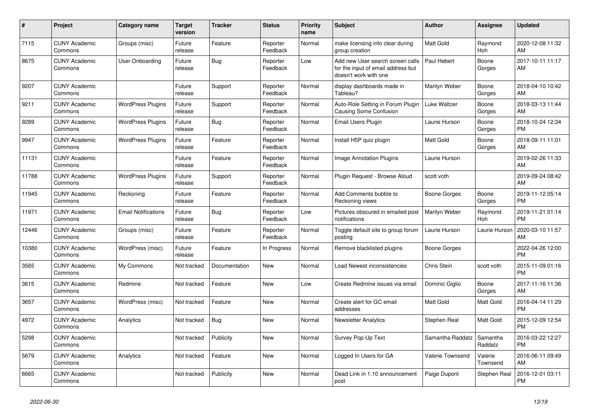| #     | <b>Project</b>                  | Category name              | <b>Target</b><br>version | <b>Tracker</b> | <b>Status</b>        | <b>Priority</b><br>name | <b>Subject</b>                                                                                  | <b>Author</b>       | Assignee            | <b>Updated</b>                |
|-------|---------------------------------|----------------------------|--------------------------|----------------|----------------------|-------------------------|-------------------------------------------------------------------------------------------------|---------------------|---------------------|-------------------------------|
| 7115  | <b>CUNY Academic</b><br>Commons | Groups (misc)              | Future<br>release        | Feature        | Reporter<br>Feedback | Normal                  | make licensing info clear during<br>group creation                                              | <b>Matt Gold</b>    | Raymond<br>Hoh      | 2020-12-08 11:32<br>AM        |
| 8675  | <b>CUNY Academic</b><br>Commons | <b>User Onboarding</b>     | Future<br>release        | Bug            | Reporter<br>Feedback | Low                     | Add new User search screen calls<br>for the input of email address but<br>doesn't work with one | Paul Hebert         | Boone<br>Gorges     | 2017-10-11 11:17<br>AM        |
| 9207  | <b>CUNY Academic</b><br>Commons |                            | Future<br>release        | Support        | Reporter<br>Feedback | Normal                  | display dashboards made in<br>Tableau?                                                          | Marilyn Weber       | Boone<br>Gorges     | 2018-04-10 10:42<br>AM        |
| 9211  | <b>CUNY Academic</b><br>Commons | <b>WordPress Plugins</b>   | Future<br>release        | Support        | Reporter<br>Feedback | Normal                  | Auto-Role Setting in Forum Plugin<br>Causing Some Confusion                                     | Luke Waltzer        | Boone<br>Gorges     | 2018-03-13 11:44<br>AM        |
| 9289  | <b>CUNY Academic</b><br>Commons | <b>WordPress Plugins</b>   | Future<br>release        | <b>Bug</b>     | Reporter<br>Feedback | Normal                  | Email Users Plugin                                                                              | Laurie Hurson       | Boone<br>Gorges     | 2018-10-24 12:34<br><b>PM</b> |
| 9947  | <b>CUNY Academic</b><br>Commons | <b>WordPress Plugins</b>   | Future<br>release        | Feature        | Reporter<br>Feedback | Normal                  | Install H5P quiz plugin                                                                         | <b>Matt Gold</b>    | Boone<br>Gorges     | 2018-09-11 11:01<br>AM        |
| 11131 | <b>CUNY Academic</b><br>Commons |                            | Future<br>release        | Feature        | Reporter<br>Feedback | Normal                  | Image Annotation Plugins                                                                        | Laurie Hurson       |                     | 2019-02-26 11:33<br>AM        |
| 11788 | <b>CUNY Academic</b><br>Commons | <b>WordPress Plugins</b>   | Future<br>release        | Support        | Reporter<br>Feedback | Normal                  | Plugin Request - Browse Aloud                                                                   | scott voth          |                     | 2019-09-24 08:42<br>AM        |
| 11945 | <b>CUNY Academic</b><br>Commons | Reckoning                  | Future<br>release        | Feature        | Reporter<br>Feedback | Normal                  | Add Comments bubble to<br>Reckoning views                                                       | <b>Boone Gorges</b> | Boone<br>Gorges     | 2019-11-12 05:14<br><b>PM</b> |
| 11971 | <b>CUNY Academic</b><br>Commons | <b>Email Notifications</b> | Future<br>release        | Bug            | Reporter<br>Feedback | Low                     | Pictures obscured in emailed post<br>notifications                                              | Marilyn Weber       | Raymond<br>Hoh      | 2019-11-21 01:14<br><b>PM</b> |
| 12446 | <b>CUNY Academic</b><br>Commons | Groups (misc)              | Future<br>release        | Feature        | Reporter<br>Feedback | Normal                  | Toggle default site to group forum<br>posting                                                   | Laurie Hurson       | Laurie Hurson       | 2020-03-10 11:57<br>AM        |
| 10380 | <b>CUNY Academic</b><br>Commons | WordPress (misc)           | Future<br>release        | Feature        | In Progress          | Normal                  | Remove blacklisted plugins                                                                      | Boone Gorges        |                     | 2022-04-26 12:00<br><b>PM</b> |
| 3565  | <b>CUNY Academic</b><br>Commons | My Commons                 | Not tracked              | Documentation  | <b>New</b>           | Normal                  | Load Newest inconsistencies                                                                     | Chris Stein         | scott voth          | 2015-11-09 01:16<br><b>PM</b> |
| 3615  | <b>CUNY Academic</b><br>Commons | Redmine                    | Not tracked              | Feature        | New                  | Low                     | Create Redmine issues via email                                                                 | Dominic Giglio      | Boone<br>Gorges     | 2017-11-16 11:36<br>AM        |
| 3657  | <b>CUNY Academic</b><br>Commons | WordPress (misc)           | Not tracked              | Feature        | <b>New</b>           | Normal                  | Create alert for GC email<br>addresses                                                          | <b>Matt Gold</b>    | Matt Gold           | 2016-04-14 11:29<br><b>PM</b> |
| 4972  | <b>CUNY Academic</b><br>Commons | Analytics                  | Not tracked              | Bug            | <b>New</b>           | Normal                  | <b>Newsletter Analytics</b>                                                                     | Stephen Real        | Matt Gold           | 2015-12-09 12:54<br><b>PM</b> |
| 5298  | <b>CUNY Academic</b><br>Commons |                            | Not tracked              | Publicity      | New                  | Normal                  | Survey Pop-Up Text                                                                              | Samantha Raddatz    | Samantha<br>Raddatz | 2016-03-22 12:27<br><b>PM</b> |
| 5679  | <b>CUNY Academic</b><br>Commons | Analytics                  | Not tracked              | Feature        | <b>New</b>           | Normal                  | Logged In Users for GA                                                                          | Valerie Townsend    | Valerie<br>Townsend | 2016-06-11 09:49<br>AM        |
| 6665  | <b>CUNY Academic</b><br>Commons |                            | Not tracked              | Publicity      | <b>New</b>           | Normal                  | Dead Link in 1.10 announcement<br>post                                                          | Paige Dupont        | Stephen Real        | 2016-12-01 03:11<br><b>PM</b> |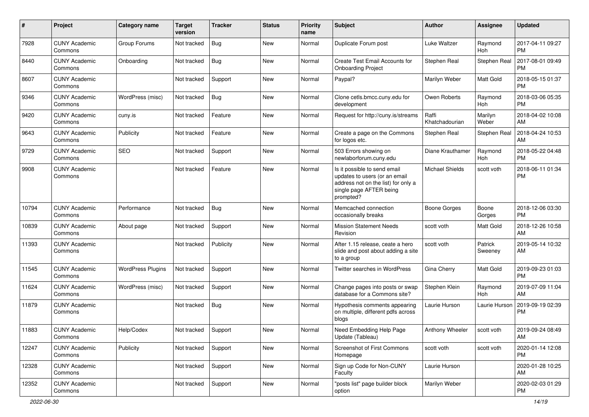| #     | Project                         | Category name            | <b>Target</b><br>version | Tracker    | <b>Status</b> | <b>Priority</b><br>name | <b>Subject</b>                                                                                                                               | Author                  | Assignee           | <b>Updated</b>                |
|-------|---------------------------------|--------------------------|--------------------------|------------|---------------|-------------------------|----------------------------------------------------------------------------------------------------------------------------------------------|-------------------------|--------------------|-------------------------------|
| 7928  | <b>CUNY Academic</b><br>Commons | Group Forums             | Not tracked              | <b>Bug</b> | New           | Normal                  | Duplicate Forum post                                                                                                                         | Luke Waltzer            | Raymond<br>Hoh     | 2017-04-11 09:27<br><b>PM</b> |
| 8440  | <b>CUNY Academic</b><br>Commons | Onboarding               | Not tracked              | Bug        | New           | Normal                  | Create Test Email Accounts for<br><b>Onboarding Project</b>                                                                                  | Stephen Real            | Stephen Real       | 2017-08-01 09:49<br><b>PM</b> |
| 8607  | <b>CUNY Academic</b><br>Commons |                          | Not tracked              | Support    | New           | Normal                  | Paypal?                                                                                                                                      | Marilyn Weber           | Matt Gold          | 2018-05-15 01:37<br><b>PM</b> |
| 9346  | <b>CUNY Academic</b><br>Commons | WordPress (misc)         | Not tracked              | Bug        | New           | Normal                  | Clone cetls.bmcc.cuny.edu for<br>development                                                                                                 | Owen Roberts            | Raymond<br>Hoh     | 2018-03-06 05:35<br><b>PM</b> |
| 9420  | <b>CUNY Academic</b><br>Commons | cuny.is                  | Not tracked              | Feature    | New           | Normal                  | Request for http://cuny.is/streams                                                                                                           | Raffi<br>Khatchadourian | Marilyn<br>Weber   | 2018-04-02 10:08<br>AM        |
| 9643  | <b>CUNY Academic</b><br>Commons | Publicity                | Not tracked              | Feature    | New           | Normal                  | Create a page on the Commons<br>for logos etc.                                                                                               | Stephen Real            | Stephen Real       | 2018-04-24 10:53<br>AM        |
| 9729  | <b>CUNY Academic</b><br>Commons | <b>SEO</b>               | Not tracked              | Support    | New           | Normal                  | 503 Errors showing on<br>newlaborforum.cuny.edu                                                                                              | Diane Krauthamer        | Raymond<br>Hoh     | 2018-05-22 04:48<br><b>PM</b> |
| 9908  | <b>CUNY Academic</b><br>Commons |                          | Not tracked              | Feature    | New           | Normal                  | Is it possible to send email<br>updates to users (or an email<br>address not on the list) for only a<br>single page AFTER being<br>prompted? | <b>Michael Shields</b>  | scott voth         | 2018-06-11 01:34<br><b>PM</b> |
| 10794 | <b>CUNY Academic</b><br>Commons | Performance              | Not tracked              | Bug        | New           | Normal                  | Memcached connection<br>occasionally breaks                                                                                                  | <b>Boone Gorges</b>     | Boone<br>Gorges    | 2018-12-06 03:30<br><b>PM</b> |
| 10839 | <b>CUNY Academic</b><br>Commons | About page               | Not tracked              | Support    | New           | Normal                  | <b>Mission Statement Needs</b><br>Revision                                                                                                   | scott voth              | Matt Gold          | 2018-12-26 10:58<br>AM        |
| 11393 | <b>CUNY Academic</b><br>Commons |                          | Not tracked              | Publicity  | New           | Normal                  | After 1.15 release, ceate a hero<br>slide and post about adding a site<br>to a group                                                         | scott voth              | Patrick<br>Sweeney | 2019-05-14 10:32<br>AM        |
| 11545 | <b>CUNY Academic</b><br>Commons | <b>WordPress Plugins</b> | Not tracked              | Support    | New           | Normal                  | Twitter searches in WordPress                                                                                                                | Gina Cherry             | Matt Gold          | 2019-09-23 01:03<br><b>PM</b> |
| 11624 | <b>CUNY Academic</b><br>Commons | WordPress (misc)         | Not tracked              | Support    | New           | Normal                  | Change pages into posts or swap<br>database for a Commons site?                                                                              | Stephen Klein           | Raymond<br>Hoh     | 2019-07-09 11:04<br>AM        |
| 11879 | <b>CUNY Academic</b><br>Commons |                          | Not tracked              | Bug        | New           | Normal                  | Hypothesis comments appearing<br>on multiple, different pdfs across<br>blogs                                                                 | Laurie Hurson           | Laurie Hurson      | 2019-09-19 02:39<br><b>PM</b> |
| 11883 | <b>CUNY Academic</b><br>Commons | Help/Codex               | Not tracked              | Support    | New           | Normal                  | Need Embedding Help Page<br>Update (Tableau)                                                                                                 | Anthony Wheeler         | scott voth         | 2019-09-24 08:49<br>AM        |
| 12247 | <b>CUNY Academic</b><br>Commons | Publicity                | Not tracked              | Support    | New           | Normal                  | Screenshot of First Commons<br>Homepage                                                                                                      | scott voth              | scott voth         | 2020-01-14 12:08<br><b>PM</b> |
| 12328 | <b>CUNY Academic</b><br>Commons |                          | Not tracked              | Support    | New           | Normal                  | Sign up Code for Non-CUNY<br>Faculty                                                                                                         | Laurie Hurson           |                    | 2020-01-28 10:25<br>AM        |
| 12352 | <b>CUNY Academic</b><br>Commons |                          | Not tracked              | Support    | New           | Normal                  | "posts list" page builder block<br>option                                                                                                    | Marilyn Weber           |                    | 2020-02-03 01:29<br>PM        |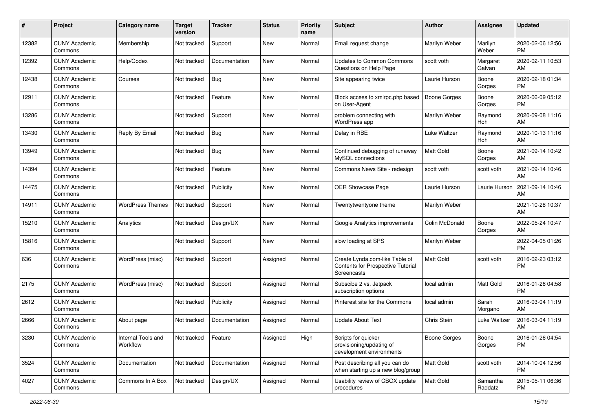| #     | Project                         | <b>Category name</b>           | <b>Target</b><br>version | <b>Tracker</b> | <b>Status</b> | Priority<br>name | Subject                                                                                   | Author              | <b>Assignee</b>     | <b>Updated</b>                |
|-------|---------------------------------|--------------------------------|--------------------------|----------------|---------------|------------------|-------------------------------------------------------------------------------------------|---------------------|---------------------|-------------------------------|
| 12382 | <b>CUNY Academic</b><br>Commons | Membership                     | Not tracked              | Support        | <b>New</b>    | Normal           | Email request change                                                                      | Marilyn Weber       | Marilyn<br>Weber    | 2020-02-06 12:56<br><b>PM</b> |
| 12392 | <b>CUNY Academic</b><br>Commons | Help/Codex                     | Not tracked              | Documentation  | New           | Normal           | <b>Updates to Common Commons</b><br>Questions on Help Page                                | scott voth          | Margaret<br>Galvan  | 2020-02-11 10:53<br>AM        |
| 12438 | <b>CUNY Academic</b><br>Commons | Courses                        | Not tracked              | Bug            | <b>New</b>    | Normal           | Site appearing twice                                                                      | Laurie Hurson       | Boone<br>Gorges     | 2020-02-18 01:34<br><b>PM</b> |
| 12911 | <b>CUNY Academic</b><br>Commons |                                | Not tracked              | Feature        | New           | Normal           | Block access to xmlrpc.php based<br>on User-Agent                                         | Boone Gorges        | Boone<br>Gorges     | 2020-06-09 05:12<br><b>PM</b> |
| 13286 | <b>CUNY Academic</b><br>Commons |                                | Not tracked              | Support        | <b>New</b>    | Normal           | problem connecting with<br>WordPress app                                                  | Marilyn Weber       | Raymond<br>Hoh      | 2020-09-08 11:16<br>AM        |
| 13430 | <b>CUNY Academic</b><br>Commons | Reply By Email                 | Not tracked              | Bug            | New           | Normal           | Delay in RBE                                                                              | Luke Waltzer        | Raymond<br>Hoh      | 2020-10-13 11:16<br>AM        |
| 13949 | <b>CUNY Academic</b><br>Commons |                                | Not tracked              | Bug            | <b>New</b>    | Normal           | Continued debugging of runaway<br>MySQL connections                                       | <b>Matt Gold</b>    | Boone<br>Gorges     | 2021-09-14 10:42<br>AM        |
| 14394 | <b>CUNY Academic</b><br>Commons |                                | Not tracked              | Feature        | <b>New</b>    | Normal           | Commons News Site - redesign                                                              | scott voth          | scott voth          | 2021-09-14 10:46<br>AM        |
| 14475 | <b>CUNY Academic</b><br>Commons |                                | Not tracked              | Publicity      | New           | Normal           | <b>OER Showcase Page</b>                                                                  | Laurie Hurson       | Laurie Hurson       | 2021-09-14 10:46<br>AM        |
| 14911 | <b>CUNY Academic</b><br>Commons | <b>WordPress Themes</b>        | Not tracked              | Support        | New           | Normal           | Twentytwentyone theme                                                                     | Marilyn Weber       |                     | 2021-10-28 10:37<br>AM        |
| 15210 | <b>CUNY Academic</b><br>Commons | Analytics                      | Not tracked              | Design/UX      | <b>New</b>    | Normal           | Google Analytics improvements                                                             | Colin McDonald      | Boone<br>Gorges     | 2022-05-24 10:47<br>AM        |
| 15816 | <b>CUNY Academic</b><br>Commons |                                | Not tracked              | Support        | <b>New</b>    | Normal           | slow loading at SPS                                                                       | Marilyn Weber       |                     | 2022-04-05 01:26<br><b>PM</b> |
| 636   | <b>CUNY Academic</b><br>Commons | WordPress (misc)               | Not tracked              | Support        | Assigned      | Normal           | Create Lynda.com-like Table of<br>Contents for Prospective Tutorial<br><b>Screencasts</b> | <b>Matt Gold</b>    | scott voth          | 2016-02-23 03:12<br><b>PM</b> |
| 2175  | <b>CUNY Academic</b><br>Commons | WordPress (misc)               | Not tracked              | Support        | Assigned      | Normal           | Subscibe 2 vs. Jetpack<br>subscription options                                            | local admin         | Matt Gold           | 2016-01-26 04:58<br><b>PM</b> |
| 2612  | <b>CUNY Academic</b><br>Commons |                                | Not tracked              | Publicity      | Assigned      | Normal           | Pinterest site for the Commons                                                            | local admin         | Sarah<br>Morgano    | 2016-03-04 11:19<br>AM        |
| 2666  | <b>CUNY Academic</b><br>Commons | About page                     | Not tracked              | Documentation  | Assigned      | Normal           | <b>Update About Text</b>                                                                  | Chris Stein         | Luke Waltzer        | 2016-03-04 11:19<br>AM        |
| 3230  | <b>CUNY Academic</b><br>Commons | Internal Tools and<br>Workflow | Not tracked              | Feature        | Assigned      | High             | Scripts for quicker<br>provisioning/updating of<br>development environments               | <b>Boone Gorges</b> | Boone<br>Gorges     | 2016-01-26 04:54<br><b>PM</b> |
| 3524  | <b>CUNY Academic</b><br>Commons | Documentation                  | Not tracked              | Documentation  | Assigned      | Normal           | Post describing all you can do<br>when starting up a new blog/group                       | Matt Gold           | scott voth          | 2014-10-04 12:56<br><b>PM</b> |
| 4027  | <b>CUNY Academic</b><br>Commons | Commons In A Box               | Not tracked              | Design/UX      | Assigned      | Normal           | Usability review of CBOX update<br>procedures                                             | <b>Matt Gold</b>    | Samantha<br>Raddatz | 2015-05-11 06:36<br><b>PM</b> |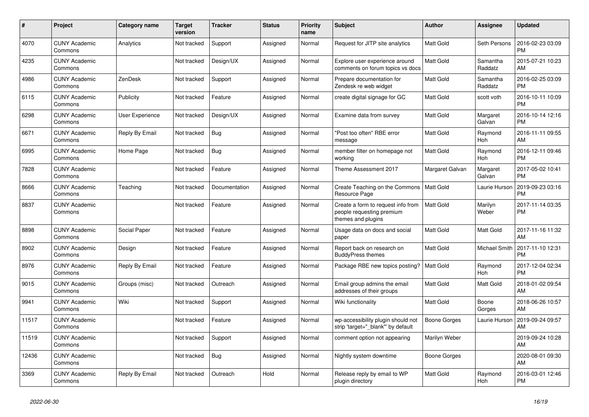| $\pmb{\#}$ | <b>Project</b>                  | <b>Category name</b>   | Target<br>version | <b>Tracker</b> | <b>Status</b> | <b>Priority</b><br>name | <b>Subject</b>                                                                        | <b>Author</b>       | Assignee              | <b>Updated</b>                |
|------------|---------------------------------|------------------------|-------------------|----------------|---------------|-------------------------|---------------------------------------------------------------------------------------|---------------------|-----------------------|-------------------------------|
| 4070       | <b>CUNY Academic</b><br>Commons | Analytics              | Not tracked       | Support        | Assigned      | Normal                  | Request for JITP site analytics                                                       | <b>Matt Gold</b>    | Seth Persons          | 2016-02-23 03:09<br><b>PM</b> |
| 4235       | <b>CUNY Academic</b><br>Commons |                        | Not tracked       | Design/UX      | Assigned      | Normal                  | Explore user experience around<br>comments on forum topics vs docs                    | <b>Matt Gold</b>    | Samantha<br>Raddatz   | 2015-07-21 10:23<br>AM        |
| 4986       | <b>CUNY Academic</b><br>Commons | ZenDesk                | Not tracked       | Support        | Assigned      | Normal                  | Prepare documentation for<br>Zendesk re web widget                                    | <b>Matt Gold</b>    | Samantha<br>Raddatz   | 2016-02-25 03:09<br><b>PM</b> |
| 6115       | <b>CUNY Academic</b><br>Commons | Publicity              | Not tracked       | Feature        | Assigned      | Normal                  | create digital signage for GC                                                         | <b>Matt Gold</b>    | scott voth            | 2016-10-11 10:09<br><b>PM</b> |
| 6298       | <b>CUNY Academic</b><br>Commons | <b>User Experience</b> | Not tracked       | Design/UX      | Assigned      | Normal                  | Examine data from survey                                                              | <b>Matt Gold</b>    | Margaret<br>Galvan    | 2016-10-14 12:16<br>PM.       |
| 6671       | <b>CUNY Academic</b><br>Commons | Reply By Email         | Not tracked       | Bug            | Assigned      | Normal                  | "Post too often" RBE error<br>message                                                 | <b>Matt Gold</b>    | Raymond<br>Hoh        | 2016-11-11 09:55<br>AM        |
| 6995       | <b>CUNY Academic</b><br>Commons | Home Page              | Not tracked       | <b>Bug</b>     | Assigned      | Normal                  | member filter on homepage not<br>working                                              | Matt Gold           | Raymond<br><b>Hoh</b> | 2016-12-11 09:46<br><b>PM</b> |
| 7828       | <b>CUNY Academic</b><br>Commons |                        | Not tracked       | Feature        | Assigned      | Normal                  | Theme Assessment 2017                                                                 | Margaret Galvan     | Margaret<br>Galvan    | 2017-05-02 10:41<br><b>PM</b> |
| 8666       | <b>CUNY Academic</b><br>Commons | Teaching               | Not tracked       | Documentation  | Assigned      | Normal                  | Create Teaching on the Commons<br>Resource Page                                       | <b>Matt Gold</b>    | Laurie Hurson         | 2019-09-23 03:16<br><b>PM</b> |
| 8837       | <b>CUNY Academic</b><br>Commons |                        | Not tracked       | Feature        | Assigned      | Normal                  | Create a form to request info from<br>people requesting premium<br>themes and plugins | Matt Gold           | Marilyn<br>Weber      | 2017-11-14 03:35<br><b>PM</b> |
| 8898       | <b>CUNY Academic</b><br>Commons | Social Paper           | Not tracked       | Feature        | Assigned      | Normal                  | Usage data on docs and social<br>paper                                                | <b>Matt Gold</b>    | <b>Matt Gold</b>      | 2017-11-16 11:32<br>AM        |
| 8902       | <b>CUNY Academic</b><br>Commons | Design                 | Not tracked       | Feature        | Assigned      | Normal                  | Report back on research on<br><b>BuddyPress themes</b>                                | <b>Matt Gold</b>    | <b>Michael Smith</b>  | 2017-11-10 12:31<br><b>PM</b> |
| 8976       | <b>CUNY Academic</b><br>Commons | Reply By Email         | Not tracked       | Feature        | Assigned      | Normal                  | Package RBE new topics posting?                                                       | l Matt Gold         | Raymond<br>Hoh        | 2017-12-04 02:34<br><b>PM</b> |
| 9015       | <b>CUNY Academic</b><br>Commons | Groups (misc)          | Not tracked       | Outreach       | Assigned      | Normal                  | Email group admins the email<br>addresses of their groups                             | Matt Gold           | <b>Matt Gold</b>      | 2018-01-02 09:54<br>AM        |
| 9941       | <b>CUNY Academic</b><br>Commons | Wiki                   | Not tracked       | Support        | Assigned      | Normal                  | Wiki functionality                                                                    | <b>Matt Gold</b>    | Boone<br>Gorges       | 2018-06-26 10:57<br>AM        |
| 11517      | <b>CUNY Academic</b><br>Commons |                        | Not tracked       | Feature        | Assigned      | Normal                  | wp-accessibility plugin should not<br>strip 'target="_blank" by default               | <b>Boone Gorges</b> | Laurie Hurson         | 2019-09-24 09:57<br>AM        |
| 11519      | <b>CUNY Academic</b><br>Commons |                        | Not tracked       | Support        | Assigned      | Normal                  | comment option not appearing                                                          | Marilyn Weber       |                       | 2019-09-24 10:28<br>AM        |
| 12436      | <b>CUNY Academic</b><br>Commons |                        | Not tracked       | Bug            | Assigned      | Normal                  | Nightly system downtime                                                               | Boone Gorges        |                       | 2020-08-01 09:30<br>AM        |
| 3369       | <b>CUNY Academic</b><br>Commons | Reply By Email         | Not tracked       | Outreach       | Hold          | Normal                  | Release reply by email to WP<br>plugin directory                                      | <b>Matt Gold</b>    | Raymond<br>Hoh        | 2016-03-01 12:46<br><b>PM</b> |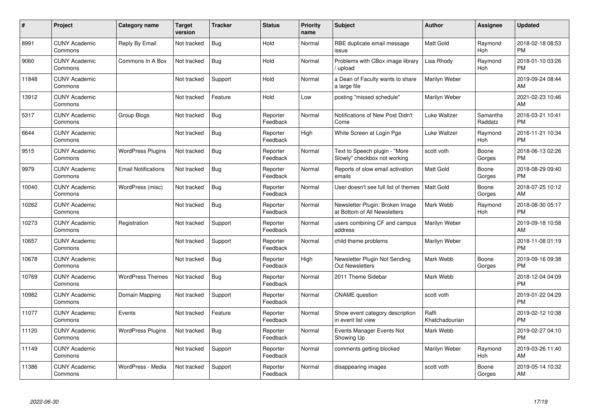| $\#$  | Project                         | <b>Category name</b>       | Target<br>version | <b>Tracker</b> | <b>Status</b>        | Priority<br>name | <b>Subject</b>                                                  | <b>Author</b>           | <b>Assignee</b>     | <b>Updated</b>                |
|-------|---------------------------------|----------------------------|-------------------|----------------|----------------------|------------------|-----------------------------------------------------------------|-------------------------|---------------------|-------------------------------|
| 8991  | <b>CUNY Academic</b><br>Commons | Reply By Email             | Not tracked       | <b>Bug</b>     | Hold                 | Normal           | RBE duplicate email message<br>issue                            | <b>Matt Gold</b>        | Raymond<br>Hoh      | 2018-02-18 08:53<br><b>PM</b> |
| 9060  | <b>CUNY Academic</b><br>Commons | Commons In A Box           | Not tracked       | Bug            | Hold                 | Normal           | Problems with CBox image library<br>upload                      | Lisa Rhody              | Raymond<br>Hoh      | 2018-01-10 03:26<br><b>PM</b> |
| 11848 | <b>CUNY Academic</b><br>Commons |                            | Not tracked       | Support        | Hold                 | Normal           | a Dean of Faculty wants to share<br>a large file                | Marilyn Weber           |                     | 2019-09-24 08:44<br>AM        |
| 13912 | <b>CUNY Academic</b><br>Commons |                            | Not tracked       | Feature        | Hold                 | Low              | posting "missed schedule"                                       | Marilyn Weber           |                     | 2021-02-23 10:46<br>AM        |
| 5317  | <b>CUNY Academic</b><br>Commons | Group Blogs                | Not tracked       | <b>Bug</b>     | Reporter<br>Feedback | Normal           | Notifications of New Post Didn't<br>Come                        | Luke Waltzer            | Samantha<br>Raddatz | 2016-03-21 10:41<br><b>PM</b> |
| 6644  | <b>CUNY Academic</b><br>Commons |                            | Not tracked       | Bug            | Reporter<br>Feedback | High             | White Screen at Login Pge                                       | Luke Waltzer            | Raymond<br>Hoh      | 2016-11-21 10:34<br><b>PM</b> |
| 9515  | <b>CUNY Academic</b><br>Commons | <b>WordPress Plugins</b>   | Not tracked       | Bug            | Reporter<br>Feedback | Normal           | Text to Speech plugin - "More<br>Slowly" checkbox not working   | scott voth              | Boone<br>Gorges     | 2018-06-13 02:26<br><b>PM</b> |
| 9979  | <b>CUNY Academic</b><br>Commons | <b>Email Notifications</b> | Not tracked       | <b>Bug</b>     | Reporter<br>Feedback | Normal           | Reports of slow email activation<br>emails                      | <b>Matt Gold</b>        | Boone<br>Gorges     | 2018-08-29 09:40<br><b>PM</b> |
| 10040 | <b>CUNY Academic</b><br>Commons | WordPress (misc)           | Not tracked       | Bug            | Reporter<br>Feedback | Normal           | User doesn't see full list of themes                            | <b>Matt Gold</b>        | Boone<br>Gorges     | 2018-07-25 10:12<br>AM        |
| 10262 | <b>CUNY Academic</b><br>Commons |                            | Not tracked       | Bug            | Reporter<br>Feedback | Normal           | Newsletter Plugin: Broken Image<br>at Bottom of All Newsletters | Mark Webb               | Raymond<br>Hoh      | 2018-08-30 05:17<br><b>PM</b> |
| 10273 | <b>CUNY Academic</b><br>Commons | Registration               | Not tracked       | Support        | Reporter<br>Feedback | Normal           | users combining CF and campus<br>address                        | Marilyn Weber           |                     | 2019-09-18 10:58<br>AM        |
| 10657 | <b>CUNY Academic</b><br>Commons |                            | Not tracked       | Support        | Reporter<br>Feedback | Normal           | child theme problems                                            | Marilyn Weber           |                     | 2018-11-08 01:19<br><b>PM</b> |
| 10678 | <b>CUNY Academic</b><br>Commons |                            | Not tracked       | Bug            | Reporter<br>Feedback | High             | Newsletter Plugin Not Sending<br><b>Out Newsletters</b>         | Mark Webb               | Boone<br>Gorges     | 2019-09-16 09:38<br><b>PM</b> |
| 10769 | <b>CUNY Academic</b><br>Commons | <b>WordPress Themes</b>    | Not tracked       | Bug            | Reporter<br>Feedback | Normal           | 2011 Theme Sidebar                                              | Mark Webb               |                     | 2018-12-04 04:09<br><b>PM</b> |
| 10982 | <b>CUNY Academic</b><br>Commons | Domain Mapping             | Not tracked       | Support        | Reporter<br>Feedback | Normal           | <b>CNAME</b> question                                           | scott voth              |                     | 2019-01-22 04:29<br><b>PM</b> |
| 11077 | <b>CUNY Academic</b><br>Commons | Events                     | Not tracked       | Feature        | Reporter<br>Feedback | Normal           | Show event category description<br>in event list view           | Raffi<br>Khatchadourian |                     | 2019-02-12 10:38<br><b>PM</b> |
| 11120 | <b>CUNY Academic</b><br>Commons | <b>WordPress Plugins</b>   | Not tracked       | Bug            | Reporter<br>Feedback | Normal           | Events Manager Events Not<br>Showing Up                         | Mark Webb               |                     | 2019-02-27 04:10<br><b>PM</b> |
| 11149 | <b>CUNY Academic</b><br>Commons |                            | Not tracked       | Support        | Reporter<br>Feedback | Normal           | comments getting blocked                                        | Marilyn Weber           | Raymond<br>Hoh      | 2019-03-26 11:40<br>AM        |
| 11386 | CUNY Academic<br>Commons        | WordPress - Media          | Not tracked       | Support        | Reporter<br>Feedback | Normal           | disappearing images                                             | scott voth              | Boone<br>Gorges     | 2019-05-14 10:32<br>AM        |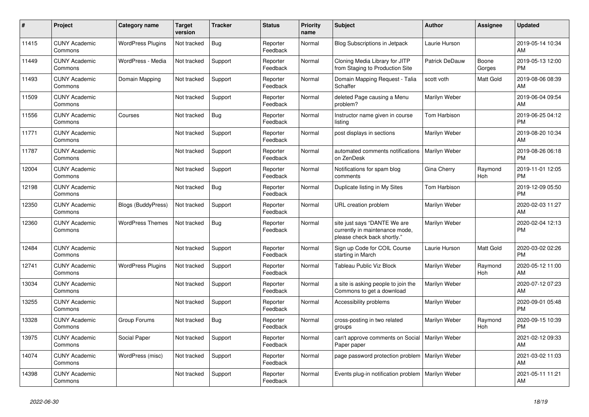| #     | Project                         | <b>Category name</b>      | <b>Target</b><br>version | <b>Tracker</b> | <b>Status</b>        | <b>Priority</b><br>name | <b>Subject</b>                                                                                | <b>Author</b>         | <b>Assignee</b> | <b>Updated</b>                |
|-------|---------------------------------|---------------------------|--------------------------|----------------|----------------------|-------------------------|-----------------------------------------------------------------------------------------------|-----------------------|-----------------|-------------------------------|
| 11415 | <b>CUNY Academic</b><br>Commons | <b>WordPress Plugins</b>  | Not tracked              | <b>Bug</b>     | Reporter<br>Feedback | Normal                  | <b>Blog Subscriptions in Jetpack</b>                                                          | Laurie Hurson         |                 | 2019-05-14 10:34<br>AM        |
| 11449 | <b>CUNY Academic</b><br>Commons | WordPress - Media         | Not tracked              | Support        | Reporter<br>Feedback | Normal                  | Cloning Media Library for JITP<br>from Staging to Production Site                             | <b>Patrick DeDauw</b> | Boone<br>Gorges | 2019-05-13 12:00<br><b>PM</b> |
| 11493 | <b>CUNY Academic</b><br>Commons | Domain Mapping            | Not tracked              | Support        | Reporter<br>Feedback | Normal                  | Domain Mapping Request - Talia<br>Schaffer                                                    | scott voth            | Matt Gold       | 2019-08-06 08:39<br>AM        |
| 11509 | <b>CUNY Academic</b><br>Commons |                           | Not tracked              | Support        | Reporter<br>Feedback | Normal                  | deleted Page causing a Menu<br>problem?                                                       | Marilyn Weber         |                 | 2019-06-04 09:54<br>AM        |
| 11556 | <b>CUNY Academic</b><br>Commons | Courses                   | Not tracked              | <b>Bug</b>     | Reporter<br>Feedback | Normal                  | Instructor name given in course<br>listing                                                    | Tom Harbison          |                 | 2019-06-25 04:12<br><b>PM</b> |
| 11771 | <b>CUNY Academic</b><br>Commons |                           | Not tracked              | Support        | Reporter<br>Feedback | Normal                  | post displays in sections                                                                     | Marilyn Weber         |                 | 2019-08-20 10:34<br>AM        |
| 11787 | <b>CUNY Academic</b><br>Commons |                           | Not tracked              | Support        | Reporter<br>Feedback | Normal                  | automated comments notifications<br>on ZenDesk                                                | Marilyn Weber         |                 | 2019-08-26 06:18<br><b>PM</b> |
| 12004 | <b>CUNY Academic</b><br>Commons |                           | Not tracked              | Support        | Reporter<br>Feedback | Normal                  | Notifications for spam blog<br>comments                                                       | Gina Cherry           | Raymond<br>Hoh  | 2019-11-01 12:05<br><b>PM</b> |
| 12198 | <b>CUNY Academic</b><br>Commons |                           | Not tracked              | Bug            | Reporter<br>Feedback | Normal                  | Duplicate listing in My Sites                                                                 | Tom Harbison          |                 | 2019-12-09 05:50<br><b>PM</b> |
| 12350 | <b>CUNY Academic</b><br>Commons | <b>Blogs (BuddyPress)</b> | Not tracked              | Support        | Reporter<br>Feedback | Normal                  | URL creation problem                                                                          | Marilyn Weber         |                 | 2020-02-03 11:27<br>AM        |
| 12360 | <b>CUNY Academic</b><br>Commons | <b>WordPress Themes</b>   | Not tracked              | Bug            | Reporter<br>Feedback | Normal                  | site just says "DANTE We are<br>currently in maintenance mode,<br>please check back shortly." | Marilyn Weber         |                 | 2020-02-04 12:13<br><b>PM</b> |
| 12484 | <b>CUNY Academic</b><br>Commons |                           | Not tracked              | Support        | Reporter<br>Feedback | Normal                  | Sign up Code for COIL Course<br>starting in March                                             | Laurie Hurson         | Matt Gold       | 2020-03-02 02:26<br><b>PM</b> |
| 12741 | <b>CUNY Academic</b><br>Commons | <b>WordPress Plugins</b>  | Not tracked              | Support        | Reporter<br>Feedback | Normal                  | Tableau Public Viz Block                                                                      | Marilyn Weber         | Raymond<br>Hoh  | 2020-05-12 11:00<br>AM        |
| 13034 | <b>CUNY Academic</b><br>Commons |                           | Not tracked              | Support        | Reporter<br>Feedback | Normal                  | a site is asking people to join the<br>Commons to get a download                              | Marilyn Weber         |                 | 2020-07-12 07:23<br>AM        |
| 13255 | <b>CUNY Academic</b><br>Commons |                           | Not tracked              | Support        | Reporter<br>Feedback | Normal                  | Accessibility problems                                                                        | Marilyn Weber         |                 | 2020-09-01 05:48<br><b>PM</b> |
| 13328 | <b>CUNY Academic</b><br>Commons | Group Forums              | Not tracked              | <b>Bug</b>     | Reporter<br>Feedback | Normal                  | cross-posting in two related<br>groups                                                        | Marilyn Weber         | Raymond<br>Hoh  | 2020-09-15 10:39<br><b>PM</b> |
| 13975 | <b>CUNY Academic</b><br>Commons | Social Paper              | Not tracked              | Support        | Reporter<br>Feedback | Normal                  | can't approve comments on Social<br>Paper paper                                               | Marilyn Weber         |                 | 2021-02-12 09:33<br>AM        |
| 14074 | <b>CUNY Academic</b><br>Commons | WordPress (misc)          | Not tracked              | Support        | Reporter<br>Feedback | Normal                  | page password protection problem   Marilyn Weber                                              |                       |                 | 2021-03-02 11:03<br>AM        |
| 14398 | <b>CUNY Academic</b><br>Commons |                           | Not tracked              | Support        | Reporter<br>Feedback | Normal                  | Events plug-in notification problem   Marilyn Weber                                           |                       |                 | 2021-05-11 11:21<br>AM        |